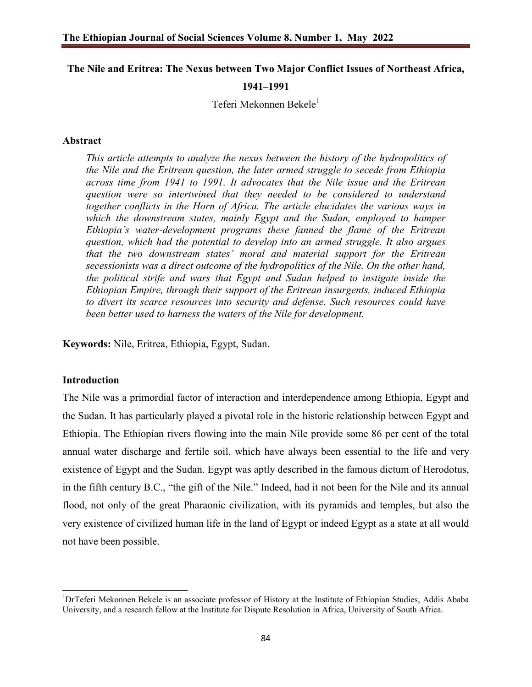# **The Nile and Eritrea: The Nexus between Two Major Conflict Issues of Northeast Africa, 1941–1991**

Teferi Mekonnen Bekele<sup>1</sup>

#### **Abstract**

*This article attempts to analyze the nexus between the history of the hydropolitics of the Nile and the Eritrean question, the later armed struggle to secede from Ethiopia across time from 1941 to 1991. It advocates that the Nile issue and the Eritrean question were so intertwined that they needed to be considered to understand together conflicts in the Horn of Africa. The article elucidates the various ways in which the downstream states, mainly Egypt and the Sudan, employed to hamper Ethiopia's water-development programs these fanned the flame of the Eritrean question, which had the potential to develop into an armed struggle. It also argues that the two downstream states' moral and material support for the Eritrean secessionists was a direct outcome of the hydropolitics of the Nile. On the other hand, the political strife and wars that Egypt and Sudan helped to instigate inside the Ethiopian Empire, through their support of the Eritrean insurgents, induced Ethiopia to divert its scarce resources into security and defense. Such resources could have been better used to harness the waters of the Nile for development.*

**Keywords:** Nile, Eritrea, Ethiopia, Egypt, Sudan.

#### **Introduction**

The Nile was a primordial factor of interaction and interdependence among Ethiopia, Egypt and the Sudan. It has particularly played a pivotal role in the historic relationship between Egypt and Ethiopia. The Ethiopian rivers flowing into the main Nile provide some 86 per cent of the total annual water discharge and fertile soil, which have always been essential to the life and very existence of Egypt and the Sudan. Egypt was aptly described in the famous dictum of Herodotus, in the fifth century B.C., "the gift of the Nile." Indeed, had it not been for the Nile and its annual flood, not only of the great Pharaonic civilization, with its pyramids and temples, but also the very existence of civilized human life in the land of Egypt or indeed Egypt as a state at all would not have been possible.

<sup>1&</sup>lt;br>
<sup>1</sup>DrTeferi Mekonnen Bekele is an associate professor of History at the Institute of Ethiopian Studies, Addis Ababa University, and a research fellow at the Institute for Dispute Resolution in Africa, University of South Africa.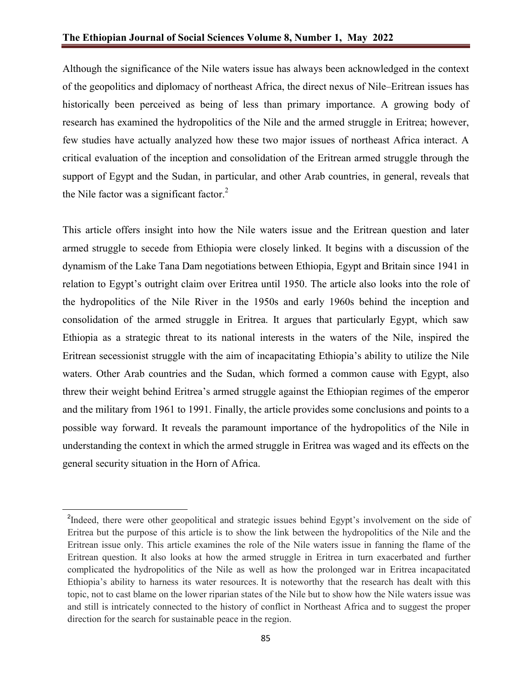Although the significance of the Nile waters issue has always been acknowledged in the context of the geopolitics and diplomacy of northeast Africa, the direct nexus of Nile–Eritrean issues has historically been perceived as being of less than primary importance. A growing body of research has examined the hydropolitics of the Nile and the armed struggle in Eritrea; however, few studies have actually analyzed how these two major issues of northeast Africa interact. A critical evaluation of the inception and consolidation of the Eritrean armed struggle through the support of Egypt and the Sudan, in particular, and other Arab countries, in general, reveals that the Nile factor was a significant factor.<sup>2</sup>

This article offers insight into how the Nile waters issue and the Eritrean question and later armed struggle to secede from Ethiopia were closely linked. It begins with a discussion of the dynamism of the Lake Tana Dam negotiations between Ethiopia, Egypt and Britain since 1941 in relation to Egypt's outright claim over Eritrea until 1950. The article also looks into the role of the hydropolitics of the Nile River in the 1950s and early 1960s behind the inception and consolidation of the armed struggle in Eritrea. It argues that particularly Egypt, which saw Ethiopia as a strategic threat to its national interests in the waters of the Nile, inspired the Eritrean secessionist struggle with the aim of incapacitating Ethiopia's ability to utilize the Nile waters. Other Arab countries and the Sudan, which formed a common cause with Egypt, also threw their weight behind Eritrea's armed struggle against the Ethiopian regimes of the emperor and the military from 1961 to 1991. Finally, the article provides some conclusions and points to a possible way forward. It reveals the paramount importance of the hydropolitics of the Nile in understanding the context in which the armed struggle in Eritrea was waged and its effects on the general security situation in the Horn of Africa.

<sup>&</sup>lt;sup>2</sup>Indeed, there were other geopolitical and strategic issues behind Egypt's involvement on the side of Eritrea but the purpose of this article is to show the link between the hydropolitics of the Nile and the Eritrean issue only. This article examines the role of the Nile waters issue in fanning the flame of the Eritrean question. It also looks at how the armed struggle in Eritrea in turn exacerbated and further complicated the hydropolitics of the Nile as well as how the prolonged war in Eritrea incapacitated Ethiopia's ability to harness its water resources. It is noteworthy that the research has dealt with this topic, not to cast blame on the lower riparian states of the Nile but to show how the Nile waters issue was and still is intricately connected to the history of conflict in Northeast Africa and to suggest the proper direction for the search for sustainable peace in the region.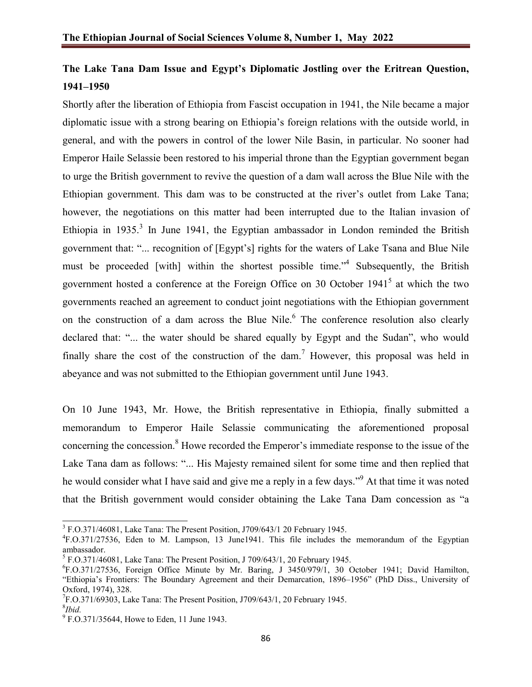# **The Lake Tana Dam Issue and Egypt's Diplomatic Jostling over the Eritrean Question, 1941–1950**

Shortly after the liberation of Ethiopia from Fascist occupation in 1941, the Nile became a major diplomatic issue with a strong bearing on Ethiopia's foreign relations with the outside world, in general, and with the powers in control of the lower Nile Basin, in particular. No sooner had Emperor Haile Selassie been restored to his imperial throne than the Egyptian government began to urge the British government to revive the question of a dam wall across the Blue Nile with the Ethiopian government. This dam was to be constructed at the river's outlet from Lake Tana; however, the negotiations on this matter had been interrupted due to the Italian invasion of Ethiopia in 1935.<sup>3</sup> In June 1941, the Egyptian ambassador in London reminded the British government that: "... recognition of [Egypt's] rights for the waters of Lake Tsana and Blue Nile must be proceeded [with] within the shortest possible time."<sup>4</sup> Subsequently, the British government hosted a conference at the Foreign Office on 30 October  $1941<sup>5</sup>$  at which the two governments reached an agreement to conduct joint negotiations with the Ethiopian government on the construction of a dam across the Blue Nile.<sup>6</sup> The conference resolution also clearly declared that: "... the water should be shared equally by Egypt and the Sudan", who would finally share the cost of the construction of the dam.<sup>7</sup> However, this proposal was held in abeyance and was not submitted to the Ethiopian government until June 1943.

On 10 June 1943, Mr. Howe, the British representative in Ethiopia, finally submitted a memorandum to Emperor Haile Selassie communicating the aforementioned proposal concerning the concession.<sup>8</sup> Howe recorded the Emperor's immediate response to the issue of the Lake Tana dam as follows: "... His Majesty remained silent for some time and then replied that he would consider what I have said and give me a reply in a few days."<sup>9</sup> At that time it was noted that the British government would consider obtaining the Lake Tana Dam concession as "a

<sup>&</sup>lt;sup>3</sup> F.O.371/46081, Lake Tana: The Present Position, J709/643/1 20 February 1945.

<sup>&</sup>lt;sup>4</sup>F.O.371/27536, Eden to M. Lampson, 13 June1941. This file includes the memorandum of the Egyptian ambassador.

 $<sup>5</sup>$  F.O.371/46081, Lake Tana: The Present Position, J 709/643/1, 20 February 1945.</sup>

<sup>6</sup> F.O.371/27536, Foreign Office Minute by Mr. Baring, J 3450/979/1, 30 October 1941; David Hamilton, "Ethiopia's Frontiers: The Boundary Agreement and their Demarcation, 1896–1956" (PhD Diss., University of Oxford, 1974), 328.

 $7F.$ O.371/69303, Lake Tana: The Present Position, J709/643/1, 20 February 1945.

<sup>8</sup> *Ibid.*

<sup>&</sup>lt;sup>9</sup> F.O.371/35644, Howe to Eden, 11 June 1943.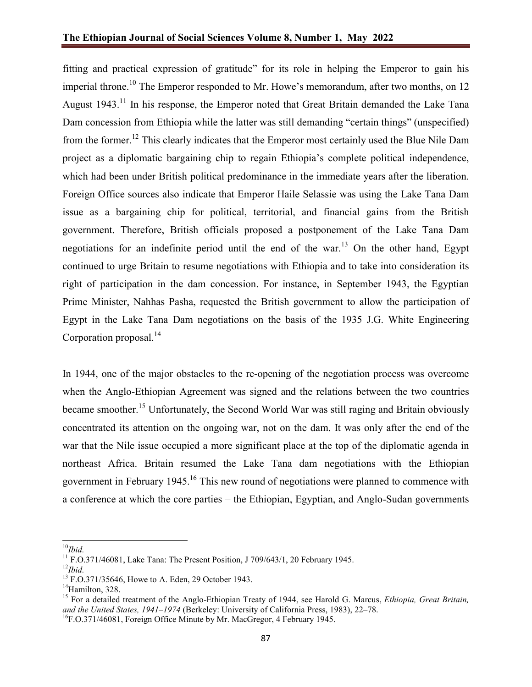fitting and practical expression of gratitude" for its role in helping the Emperor to gain his imperial throne.<sup>10</sup> The Emperor responded to Mr. Howe's memorandum, after two months, on 12 August 1943.<sup>11</sup> In his response, the Emperor noted that Great Britain demanded the Lake Tana Dam concession from Ethiopia while the latter was still demanding "certain things" (unspecified) from the former.<sup>12</sup> This clearly indicates that the Emperor most certainly used the Blue Nile Dam project as a diplomatic bargaining chip to regain Ethiopia's complete political independence, which had been under British political predominance in the immediate years after the liberation. Foreign Office sources also indicate that Emperor Haile Selassie was using the Lake Tana Dam issue as a bargaining chip for political, territorial, and financial gains from the British government. Therefore, British officials proposed a postponement of the Lake Tana Dam negotiations for an indefinite period until the end of the war.<sup>13</sup> On the other hand, Egypt continued to urge Britain to resume negotiations with Ethiopia and to take into consideration its right of participation in the dam concession. For instance, in September 1943, the Egyptian Prime Minister, Nahhas Pasha, requested the British government to allow the participation of Egypt in the Lake Tana Dam negotiations on the basis of the 1935 J.G. White Engineering Corporation proposal. $^{14}$ 

In 1944, one of the major obstacles to the re-opening of the negotiation process was overcome when the Anglo-Ethiopian Agreement was signed and the relations between the two countries became smoother.<sup>15</sup> Unfortunately, the Second World War was still raging and Britain obviously concentrated its attention on the ongoing war, not on the dam. It was only after the end of the war that the Nile issue occupied a more significant place at the top of the diplomatic agenda in northeast Africa. Britain resumed the Lake Tana dam negotiations with the Ethiopian government in February 1945.<sup>16</sup> This new round of negotiations were planned to commence with a conference at which the core parties – the Ethiopian, Egyptian, and Anglo-Sudan governments

<sup>10</sup>*Ibid.*

<sup>&</sup>lt;sup>11</sup> F.O.371/46081, Lake Tana: The Present Position, J 709/643/1, 20 February 1945.<br><sup>12</sup>*Ibid.* 

 $^{13}$  F.O.371/35646, Howe to A. Eden, 29 October 1943.<br><sup>14</sup>Hamilton, 328.

<sup>15</sup> For a detailed treatment of the Anglo-Ethiopian Treaty of 1944, see Harold G. Marcus, *Ethiopia, Great Britain, and the United States, 1941*–*1974* (Berkeley: University of California Press, 1983), 22–78.

<sup>&</sup>lt;sup>16</sup>F.O.371/46081, Foreign Office Minute by Mr. MacGregor, 4 February 1945.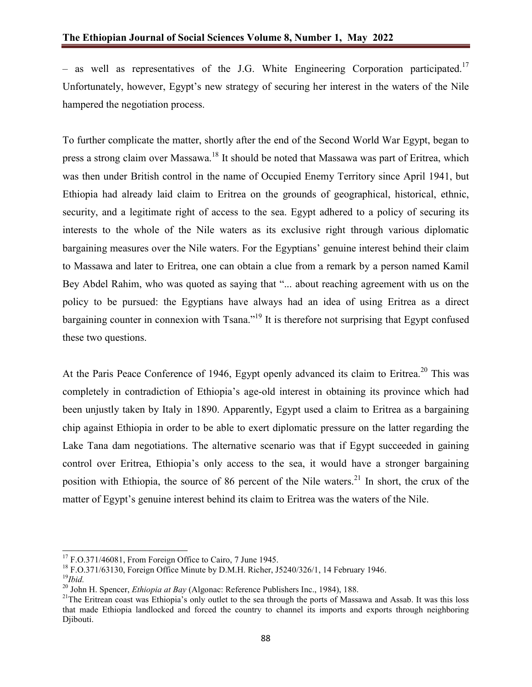– as well as representatives of the J.G. White Engineering Corporation participated.<sup>17</sup> Unfortunately, however, Egypt's new strategy of securing her interest in the waters of the Nile hampered the negotiation process.

To further complicate the matter, shortly after the end of the Second World War Egypt, began to press a strong claim over Massawa.<sup>18</sup> It should be noted that Massawa was part of Eritrea, which was then under British control in the name of Occupied Enemy Territory since April 1941, but Ethiopia had already laid claim to Eritrea on the grounds of geographical, historical, ethnic, security, and a legitimate right of access to the sea. Egypt adhered to a policy of securing its interests to the whole of the Nile waters as its exclusive right through various diplomatic bargaining measures over the Nile waters. For the Egyptians' genuine interest behind their claim to Massawa and later to Eritrea, one can obtain a clue from a remark by a person named Kamil Bey Abdel Rahim, who was quoted as saying that "... about reaching agreement with us on the policy to be pursued: the Egyptians have always had an idea of using Eritrea as a direct bargaining counter in connexion with Tsana."<sup>19</sup> It is therefore not surprising that Egypt confused these two questions.

At the Paris Peace Conference of 1946, Egypt openly advanced its claim to Eritrea.<sup>20</sup> This was completely in contradiction of Ethiopia's age-old interest in obtaining its province which had been unjustly taken by Italy in 1890. Apparently, Egypt used a claim to Eritrea as a bargaining chip against Ethiopia in order to be able to exert diplomatic pressure on the latter regarding the Lake Tana dam negotiations. The alternative scenario was that if Egypt succeeded in gaining control over Eritrea, Ethiopia's only access to the sea, it would have a stronger bargaining position with Ethiopia, the source of 86 percent of the Nile waters.<sup>21</sup> In short, the crux of the matter of Egypt's genuine interest behind its claim to Eritrea was the waters of the Nile.

 $17$  F.O.371/46081, From Foreign Office to Cairo, 7 June 1945.

 $^{18}$  F.O.371/63130, Foreign Office Minute by D.M.H. Richer, J5240/326/1, 14 February 1946.

<sup>&</sup>lt;sup>19</sup>*Ibid.*<br><sup>20</sup> John H. Spencer, *Ethiopia at Bay* (Algonac: Reference Publishers Inc., 1984), 188.

<sup>&</sup>lt;sup>21</sup>The Eritrean coast was Ethiopia's only outlet to the sea through the ports of Massawa and Assab. It was this loss that made Ethiopia landlocked and forced the country to channel its imports and exports through neighboring Djibouti.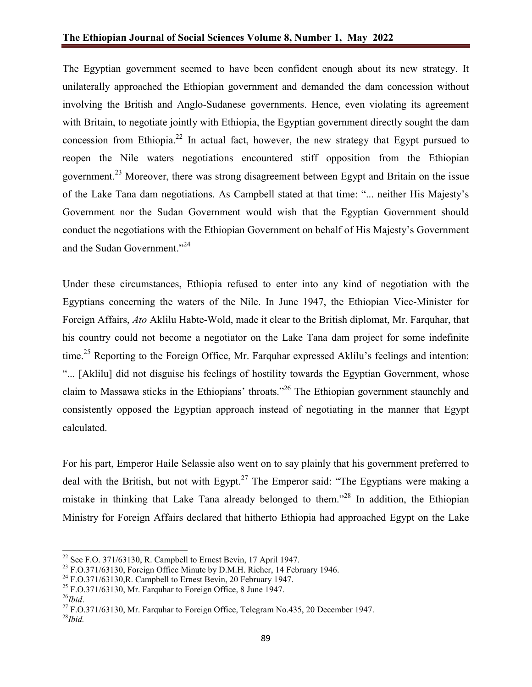The Egyptian government seemed to have been confident enough about its new strategy. It unilaterally approached the Ethiopian government and demanded the dam concession without involving the British and Anglo-Sudanese governments. Hence, even violating its agreement with Britain, to negotiate jointly with Ethiopia, the Egyptian government directly sought the dam concession from Ethiopia.<sup>22</sup> In actual fact, however, the new strategy that Egypt pursued to reopen the Nile waters negotiations encountered stiff opposition from the Ethiopian government.<sup>23</sup> Moreover, there was strong disagreement between Egypt and Britain on the issue of the Lake Tana dam negotiations. As Campbell stated at that time: "... neither His Majesty's Government nor the Sudan Government would wish that the Egyptian Government should conduct the negotiations with the Ethiopian Government on behalf of His Majesty's Government and the Sudan Government."<sup>24</sup>

Under these circumstances, Ethiopia refused to enter into any kind of negotiation with the Egyptians concerning the waters of the Nile. In June 1947, the Ethiopian Vice-Minister for Foreign Affairs, *Ato* Aklilu Habte-Wold, made it clear to the British diplomat, Mr. Farquhar, that his country could not become a negotiator on the Lake Tana dam project for some indefinite time.<sup>25</sup> Reporting to the Foreign Office, Mr. Farquhar expressed Aklilu's feelings and intention: "... [Aklilu] did not disguise his feelings of hostility towards the Egyptian Government, whose claim to Massawa sticks in the Ethiopians' throats."<sup>26</sup> The Ethiopian government staunchly and consistently opposed the Egyptian approach instead of negotiating in the manner that Egypt calculated.

For his part, Emperor Haile Selassie also went on to say plainly that his government preferred to deal with the British, but not with Egypt.<sup>27</sup> The Emperor said: "The Egyptians were making a mistake in thinking that Lake Tana already belonged to them."<sup>28</sup> In addition, the Ethiopian Ministry for Foreign Affairs declared that hitherto Ethiopia had approached Egypt on the Lake

 $22$  See F.O. 371/63130, R. Campbell to Ernest Bevin, 17 April 1947.

<sup>&</sup>lt;sup>23</sup> F.O.371/63130, Foreign Office Minute by D.M.H. Richer, 14 February 1946.<br><sup>24</sup> F.O.371/63130,R. Campbell to Ernest Bevin, 20 February 1947.

<sup>&</sup>lt;sup>25</sup> F.O.371/63130, Mr. Farquhar to Foreign Office, 8 June 1947.<br><sup>26</sup>*Ihid.* 

<sup>&</sup>lt;sup>27</sup> F.O.371/63130, Mr. Farquhar to Foreign Office, Telegram No.435, 20 December 1947. <sup>28</sup>*Ibid.*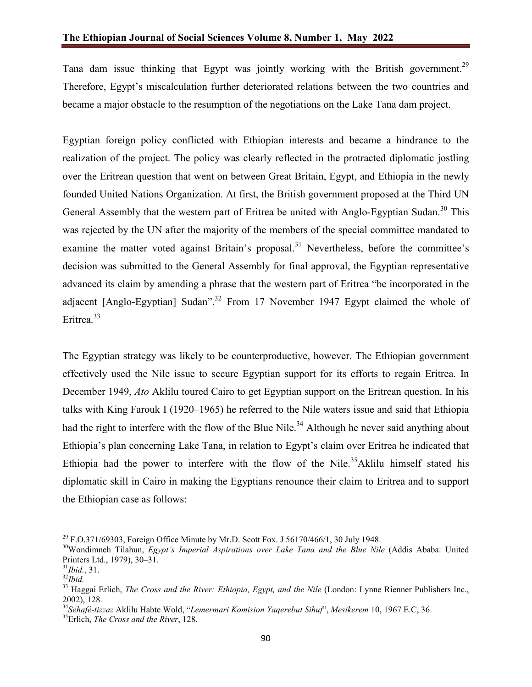Tana dam issue thinking that Egypt was jointly working with the British government.<sup>29</sup> Therefore, Egypt's miscalculation further deteriorated relations between the two countries and became a major obstacle to the resumption of the negotiations on the Lake Tana dam project.

Egyptian foreign policy conflicted with Ethiopian interests and became a hindrance to the realization of the project. The policy was clearly reflected in the protracted diplomatic jostling over the Eritrean question that went on between Great Britain, Egypt, and Ethiopia in the newly founded United Nations Organization. At first, the British government proposed at the Third UN General Assembly that the western part of Eritrea be united with Anglo-Egyptian Sudan.<sup>30</sup> This was rejected by the UN after the majority of the members of the special committee mandated to examine the matter voted against Britain's proposal.<sup>31</sup> Nevertheless, before the committee's decision was submitted to the General Assembly for final approval, the Egyptian representative advanced its claim by amending a phrase that the western part of Eritrea "be incorporated in the adjacent [Anglo-Egyptian] Sudan".<sup>32</sup> From 17 November 1947 Egypt claimed the whole of Eritrea.<sup>33</sup>

The Egyptian strategy was likely to be counterproductive, however. The Ethiopian government effectively used the Nile issue to secure Egyptian support for its efforts to regain Eritrea. In December 1949, *Ato* Aklilu toured Cairo to get Egyptian support on the Eritrean question. In his talks with King Farouk I (1920–1965) he referred to the Nile waters issue and said that Ethiopia had the right to interfere with the flow of the Blue Nile.<sup>34</sup> Although he never said anything about Ethiopia's plan concerning Lake Tana, in relation to Egypt's claim over Eritrea he indicated that Ethiopia had the power to interfere with the flow of the Nile.<sup>35</sup>Aklilu himself stated his diplomatic skill in Cairo in making the Egyptians renounce their claim to Eritrea and to support the Ethiopian case as follows:

<sup>&</sup>lt;sup>29</sup> F.O.371/69303, Foreign Office Minute by Mr.D. Scott Fox. J 56170/466/1, 30 July 1948.

<sup>&</sup>lt;sup>30</sup>Wondimneh Tilahun, *Egypt's Imperial Aspirations over Lake Tana and the Blue Nile* (Addis Ababa: United Printers Ltd., 1979), 30–31.

<sup>31</sup>*Ibid.*, 31.

<sup>32</sup>*Ibid.*

<sup>33</sup> Haggai Erlich, *The Cross and the River: Ethiopia, Egypt, and the Nile* (London: Lynne Rienner Publishers Inc., 2002), 128.

<sup>34</sup>*Sehafé-tizzaz* Aklilu Habte Wold, "*Lemermari Komision Yaqerebut Sihuf*", *Mesikerem* 10, 1967 E.C, 36.

<sup>35</sup>Erlich, *The Cross and the River*, 128.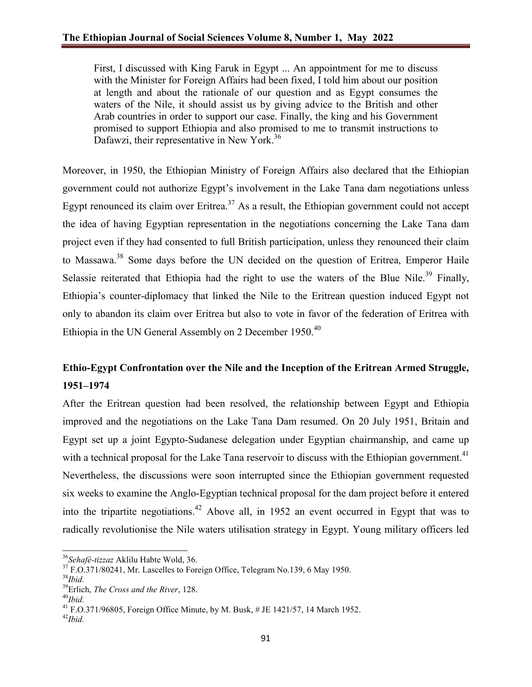First, I discussed with King Faruk in Egypt ... An appointment for me to discuss with the Minister for Foreign Affairs had been fixed, I told him about our position at length and about the rationale of our question and as Egypt consumes the waters of the Nile, it should assist us by giving advice to the British and other Arab countries in order to support our case. Finally, the king and his Government promised to support Ethiopia and also promised to me to transmit instructions to Dafawzi, their representative in New York.<sup>36</sup>

Moreover, in 1950, the Ethiopian Ministry of Foreign Affairs also declared that the Ethiopian government could not authorize Egypt's involvement in the Lake Tana dam negotiations unless Egypt renounced its claim over Eritrea.<sup>37</sup> As a result, the Ethiopian government could not accept the idea of having Egyptian representation in the negotiations concerning the Lake Tana dam project even if they had consented to full British participation, unless they renounced their claim to Massawa.<sup>38</sup> Some days before the UN decided on the question of Eritrea, Emperor Haile Selassie reiterated that Ethiopia had the right to use the waters of the Blue Nile.<sup>39</sup> Finally, Ethiopia's counter-diplomacy that linked the Nile to the Eritrean question induced Egypt not only to abandon its claim over Eritrea but also to vote in favor of the federation of Eritrea with Ethiopia in the UN General Assembly on 2 December 1950.<sup>40</sup>

# **Ethio-Egypt Confrontation over the Nile and the Inception of the Eritrean Armed Struggle, 1951–1974**

After the Eritrean question had been resolved, the relationship between Egypt and Ethiopia improved and the negotiations on the Lake Tana Dam resumed. On 20 July 1951, Britain and Egypt set up a joint Egypto-Sudanese delegation under Egyptian chairmanship, and came up with a technical proposal for the Lake Tana reservoir to discuss with the Ethiopian government.<sup>41</sup> Nevertheless, the discussions were soon interrupted since the Ethiopian government requested six weeks to examine the Anglo-Egyptian technical proposal for the dam project before it entered into the tripartite negotiations.<sup>42</sup> Above all, in 1952 an event occurred in Egypt that was to radically revolutionise the Nile waters utilisation strategy in Egypt. Young military officers led

<sup>36</sup>*Sehafé-tizzaz* Aklilu Habte Wold, 36.

 $37 F. O.371/80241$ , Mr. Lascelles to Foreign Office, Telegram No.139, 6 May 1950.

<sup>38</sup>*Ibid.*

<sup>39</sup>Erlich, *The Cross and the River*, 128.

<sup>40</sup>*Ibid.*

<sup>41</sup> F.O.371/96805, Foreign Office Minute, by M. Busk, # JE 1421/57, 14 March 1952. <sup>42</sup>*Ibid.*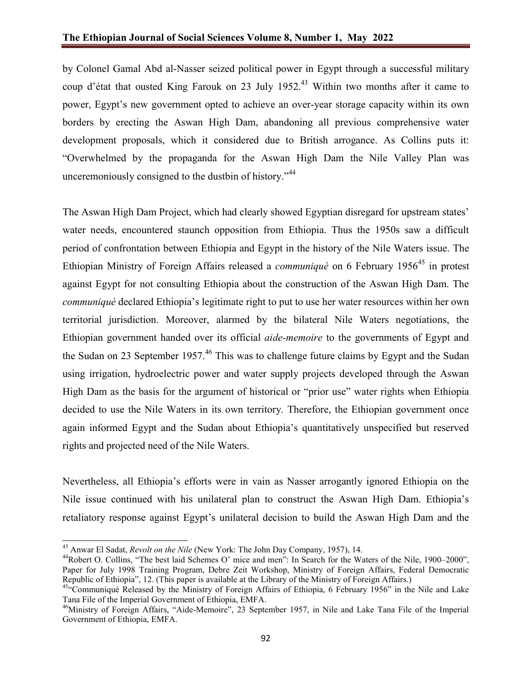by Colonel Gamal Abd al-Nasser seized political power in Egypt through a successful military coup d'état that ousted King Farouk on 23 July 1952.<sup>43</sup> Within two months after it came to power, Egypt's new government opted to achieve an over-year storage capacity within its own borders by erecting the Aswan High Dam, abandoning all previous comprehensive water development proposals, which it considered due to British arrogance. As Collins puts it: "Overwhelmed by the propaganda for the Aswan High Dam the Nile Valley Plan was unceremoniously consigned to the dustbin of history."<sup>44</sup>

The Aswan High Dam Project, which had clearly showed Egyptian disregard for upstream states' water needs, encountered staunch opposition from Ethiopia. Thus the 1950s saw a difficult period of confrontation between Ethiopia and Egypt in the history of the Nile Waters issue. The Ethiopian Ministry of Foreign Affairs released a *communiqué* on 6 February 1956<sup>45</sup> in protest against Egypt for not consulting Ethiopia about the construction of the Aswan High Dam. The *communiqué* declared Ethiopia's legitimate right to put to use her water resources within her own territorial jurisdiction. Moreover, alarmed by the bilateral Nile Waters negotiations, the Ethiopian government handed over its official *aide-memoire* to the governments of Egypt and the Sudan on 23 September 1957.<sup>46</sup> This was to challenge future claims by Egypt and the Sudan using irrigation, hydroelectric power and water supply projects developed through the Aswan High Dam as the basis for the argument of historical or "prior use" water rights when Ethiopia decided to use the Nile Waters in its own territory. Therefore, the Ethiopian government once again informed Egypt and the Sudan about Ethiopia's quantitatively unspecified but reserved rights and projected need of the Nile Waters.

Nevertheless, all Ethiopia's efforts were in vain as Nasser arrogantly ignored Ethiopia on the Nile issue continued with his unilateral plan to construct the Aswan High Dam. Ethiopia's retaliatory response against Egypt's unilateral decision to build the Aswan High Dam and the

<sup>&</sup>lt;sup>43</sup> Anwar El Sadat, *Revolt on the Nile* (New York: The John Day Company, 1957), 14.<br><sup>44</sup>Robert O. Collins, "The best laid Schemes O' mice and men": In Search for the Waters of the Nile, 1900–2000", Paper for July 1998 Training Program, Debre Zeit Workshop, Ministry of Foreign Affairs, Federal Democratic Republic of Ethiopia", 12. (This paper is available at the Library of the Ministry of Foreign Affairs.)

<sup>&</sup>lt;sup>45.</sup> Communiqué Released by the Ministry of Foreign Affairs of Ethiopia, 6 February 1956" in the Nile and Lake Tana File of the Imperial Government of Ethiopia, EMFA.

<sup>46</sup>Ministry of Foreign Affairs, "Aide-Memoire", 23 September 1957, in Nile and Lake Tana File of the Imperial Government of Ethiopia, EMFA.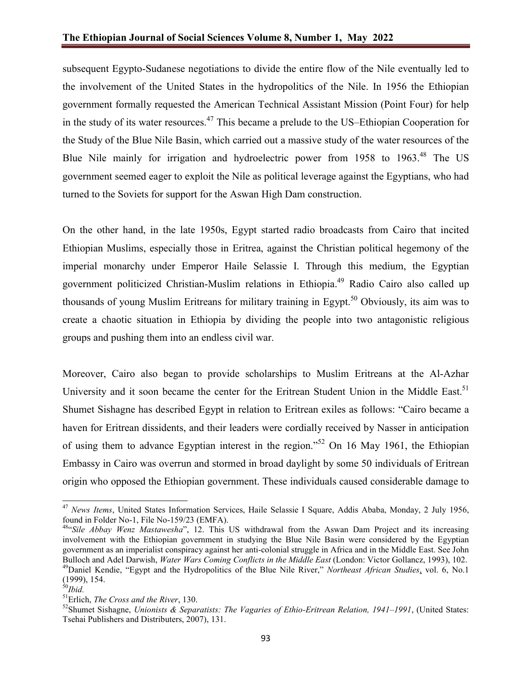subsequent Egypto-Sudanese negotiations to divide the entire flow of the Nile eventually led to the involvement of the United States in the hydropolitics of the Nile. In 1956 the Ethiopian government formally requested the American Technical Assistant Mission (Point Four) for help in the study of its water resources.<sup>47</sup> This became a prelude to the US–Ethiopian Cooperation for the Study of the Blue Nile Basin, which carried out a massive study of the water resources of the Blue Nile mainly for irrigation and hydroelectric power from 1958 to 1963.<sup>48</sup> The US government seemed eager to exploit the Nile as political leverage against the Egyptians, who had turned to the Soviets for support for the Aswan High Dam construction.

On the other hand, in the late 1950s, Egypt started radio broadcasts from Cairo that incited Ethiopian Muslims, especially those in Eritrea, against the Christian political hegemony of the imperial monarchy under Emperor Haile Selassie I. Through this medium, the Egyptian government politicized Christian-Muslim relations in Ethiopia.49 Radio Cairo also called up thousands of young Muslim Eritreans for military training in Egypt.<sup>50</sup> Obviously, its aim was to create a chaotic situation in Ethiopia by dividing the people into two antagonistic religious groups and pushing them into an endless civil war.

Moreover, Cairo also began to provide scholarships to Muslim Eritreans at the Al-Azhar University and it soon became the center for the Eritrean Student Union in the Middle East.<sup>51</sup> Shumet Sishagne has described Egypt in relation to Eritrean exiles as follows: "Cairo became a haven for Eritrean dissidents, and their leaders were cordially received by Nasser in anticipation of using them to advance Egyptian interest in the region."<sup>52</sup> On 16 May 1961, the Ethiopian Embassy in Cairo was overrun and stormed in broad daylight by some 50 individuals of Eritrean origin who opposed the Ethiopian government. These individuals caused considerable damage to

<sup>47</sup> *News Items*, United States Information Services, Haile Selassie I Square, Addis Ababa, Monday, 2 July 1956, found in Folder No-1, File No-159/23 (EMFA).

<sup>48&</sup>quot;*Sile Abbay Wenz Mastawesha*", 12. This US withdrawal from the Aswan Dam Project and its increasing involvement with the Ethiopian government in studying the Blue Nile Basin were considered by the Egyptian government as an imperialist conspiracy against her anti-colonial struggle in Africa and in the Middle East. See John Bulloch and Adel Darwish, *Water Wars Coming Conflicts in the Middle East* (London: Victor Gollancz, 1993), 102. 49Daniel Kendie, "Egypt and the Hydropolitics of the Blue Nile River," *Northeast African Studies*, vol. 6, No.1 (1999), 154.

<sup>50</sup>*Ibid.*

<sup>51</sup>Erlich, *The Cross and the River*, 130.

<sup>52</sup>Shumet Sishagne, *Unionists & Separatists: The Vagaries of Ethio-Eritrean Relation, 1941–1991*, (United States: Tsehai Publishers and Distributers, 2007), 131.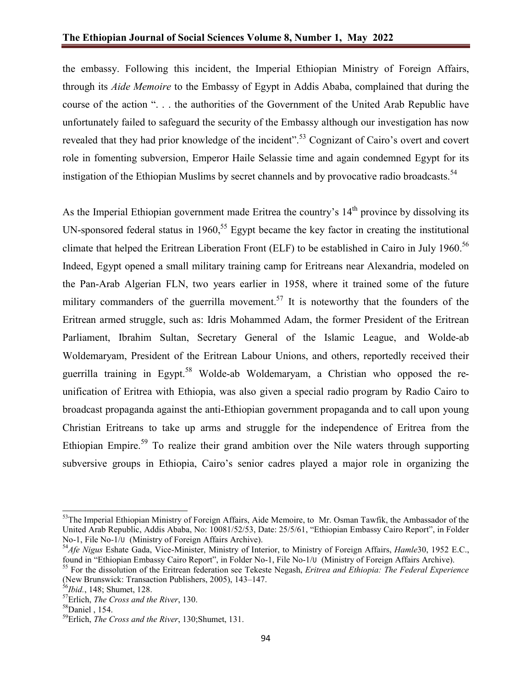the embassy. Following this incident, the Imperial Ethiopian Ministry of Foreign Affairs, through its *Aide Memoire* to the Embassy of Egypt in Addis Ababa, complained that during the course of the action ". . . the authorities of the Government of the United Arab Republic have unfortunately failed to safeguard the security of the Embassy although our investigation has now revealed that they had prior knowledge of the incident".<sup>53</sup> Cognizant of Cairo's overt and covert role in fomenting subversion, Emperor Haile Selassie time and again condemned Egypt for its instigation of the Ethiopian Muslims by secret channels and by provocative radio broadcasts.<sup>54</sup>

As the Imperial Ethiopian government made Eritrea the country's  $14<sup>th</sup>$  province by dissolving its UN-sponsored federal status in 1960,<sup>55</sup> Egypt became the key factor in creating the institutional climate that helped the Eritrean Liberation Front (ELF) to be established in Cairo in July 1960.<sup>56</sup> Indeed, Egypt opened a small military training camp for Eritreans near Alexandria, modeled on the Pan-Arab Algerian FLN, two years earlier in 1958, where it trained some of the future military commanders of the guerrilla movement.<sup>57</sup> It is noteworthy that the founders of the Eritrean armed struggle, such as: Idris Mohammed Adam, the former President of the Eritrean Parliament, Ibrahim Sultan, Secretary General of the Islamic League, and Wolde-ab Woldemaryam, President of the Eritrean Labour Unions, and others, reportedly received their guerrilla training in Egypt.<sup>58</sup> Wolde-ab Woldemaryam, a Christian who opposed the reunification of Eritrea with Ethiopia, was also given a special radio program by Radio Cairo to broadcast propaganda against the anti-Ethiopian government propaganda and to call upon young Christian Eritreans to take up arms and struggle for the independence of Eritrea from the Ethiopian Empire.<sup>59</sup> To realize their grand ambition over the Nile waters through supporting subversive groups in Ethiopia, Cairo's senior cadres played a major role in organizing the

<sup>&</sup>lt;sup>53</sup>The Imperial Ethiopian Ministry of Foreign Affairs, Aide Memoire, to Mr. Osman Tawfik, the Ambassador of the United Arab Republic, Addis Ababa, No: 10081/52/53, Date: 25/5/61, "Ethiopian Embassy Cairo Report", in Folder No-1, File No-1/ሀ (Ministry of Foreign Affairs Archive).

<sup>&</sup>lt;sup>54</sup>Afe<sup></sup> Nigus Eshate Gada, Vice-Minister, Ministry of Interior, to Ministry of Foreign Affairs, *Hamle*30, 1952 E.C., found in "Ethiopian Embassy Cairo Report", in Folder No-1, File No-1/U (Ministry of Foreign Affairs Ar

<sup>&</sup>lt;sup>55</sup> For the dissolution of the Eritrean federation see Tekeste Negash, *Eritrea and Ethiopia: The Federal Experience* (New Brunswick: Transaction Publishers, 2005), 143–147.<br><sup>56</sup>Ibid., 148; Shumet, 128.

<sup>&</sup>lt;sup>57</sup>Erlich, *The Cross and the River*, 130.

<sup>58</sup>Daniel , 154.

<sup>59</sup>Erlich, *The Cross and the River*, 130;Shumet, 131.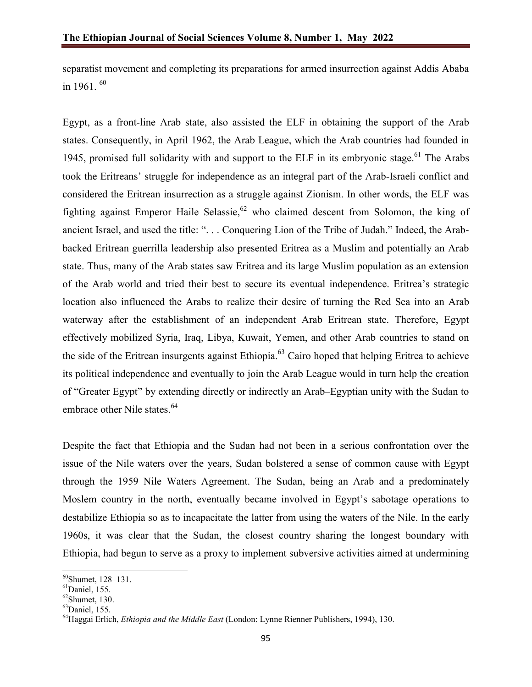separatist movement and completing its preparations for armed insurrection against Addis Ababa in 1961.  $60$ 

Egypt, as a front-line Arab state, also assisted the ELF in obtaining the support of the Arab states. Consequently, in April 1962, the Arab League, which the Arab countries had founded in 1945, promised full solidarity with and support to the ELF in its embryonic stage.<sup>61</sup> The Arabs took the Eritreans' struggle for independence as an integral part of the Arab-Israeli conflict and considered the Eritrean insurrection as a struggle against Zionism. In other words, the ELF was fighting against Emperor Haile Selassie,<sup>62</sup> who claimed descent from Solomon, the king of ancient Israel, and used the title: ". . . Conquering Lion of the Tribe of Judah." Indeed, the Arabbacked Eritrean guerrilla leadership also presented Eritrea as a Muslim and potentially an Arab state. Thus, many of the Arab states saw Eritrea and its large Muslim population as an extension of the Arab world and tried their best to secure its eventual independence. Eritrea's strategic location also influenced the Arabs to realize their desire of turning the Red Sea into an Arab waterway after the establishment of an independent Arab Eritrean state. Therefore, Egypt effectively mobilized Syria, Iraq, Libya, Kuwait, Yemen, and other Arab countries to stand on the side of the Eritrean insurgents against Ethiopia.<sup>63</sup> Cairo hoped that helping Eritrea to achieve its political independence and eventually to join the Arab League would in turn help the creation of "Greater Egypt" by extending directly or indirectly an Arab–Egyptian unity with the Sudan to embrace other Nile states.<sup>64</sup>

Despite the fact that Ethiopia and the Sudan had not been in a serious confrontation over the issue of the Nile waters over the years, Sudan bolstered a sense of common cause with Egypt through the 1959 Nile Waters Agreement. The Sudan, being an Arab and a predominately Moslem country in the north, eventually became involved in Egypt's sabotage operations to destabilize Ethiopia so as to incapacitate the latter from using the waters of the Nile. In the early 1960s, it was clear that the Sudan, the closest country sharing the longest boundary with Ethiopia, had begun to serve as a proxy to implement subversive activities aimed at undermining

60Shumet, 128–131.

 ${}^{61}$ Daniel, 155.

 $62$ Shumet, 130.

 $63$ Daniel, 155.

<sup>64</sup>Haggai Erlich, *Ethiopia and the Middle East* (London: Lynne Rienner Publishers, 1994), 130.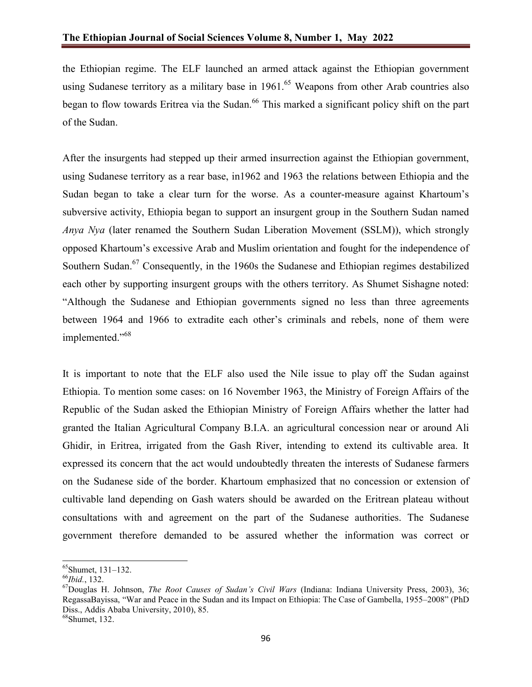the Ethiopian regime. The ELF launched an armed attack against the Ethiopian government using Sudanese territory as a military base in  $1961<sup>65</sup>$  Weapons from other Arab countries also began to flow towards Eritrea via the Sudan.<sup>66</sup> This marked a significant policy shift on the part of the Sudan.

After the insurgents had stepped up their armed insurrection against the Ethiopian government, using Sudanese territory as a rear base, in1962 and 1963 the relations between Ethiopia and the Sudan began to take a clear turn for the worse. As a counter-measure against Khartoum's subversive activity, Ethiopia began to support an insurgent group in the Southern Sudan named *Anya Nya* (later renamed the Southern Sudan Liberation Movement (SSLM)), which strongly opposed Khartoum's excessive Arab and Muslim orientation and fought for the independence of Southern Sudan.<sup>67</sup> Consequently, in the 1960s the Sudanese and Ethiopian regimes destabilized each other by supporting insurgent groups with the others territory. As Shumet Sishagne noted: "Although the Sudanese and Ethiopian governments signed no less than three agreements between 1964 and 1966 to extradite each other's criminals and rebels, none of them were implemented."<sup>68</sup>

It is important to note that the ELF also used the Nile issue to play off the Sudan against Ethiopia. To mention some cases: on 16 November 1963, the Ministry of Foreign Affairs of the Republic of the Sudan asked the Ethiopian Ministry of Foreign Affairs whether the latter had granted the Italian Agricultural Company B.I.A. an agricultural concession near or around Ali Ghidir, in Eritrea, irrigated from the Gash River, intending to extend its cultivable area. It expressed its concern that the act would undoubtedly threaten the interests of Sudanese farmers on the Sudanese side of the border. Khartoum emphasized that no concession or extension of cultivable land depending on Gash waters should be awarded on the Eritrean plateau without consultations with and agreement on the part of the Sudanese authorities. The Sudanese government therefore demanded to be assured whether the information was correct or

65Shumet, 131–132.

<sup>66</sup>*Ibid.*, 132.

<sup>67</sup>Douglas H. Johnson, *The Root Causes of Sudan's Civil Wars* (Indiana: Indiana University Press, 2003), 36; RegassaBayissa, "War and Peace in the Sudan and its Impact on Ethiopia: The Case of Gambella, 1955–2008" (PhD Diss., Addis Ababa University, 2010), 85.

 $<sup>68</sup>$ Shumet, 132.</sup>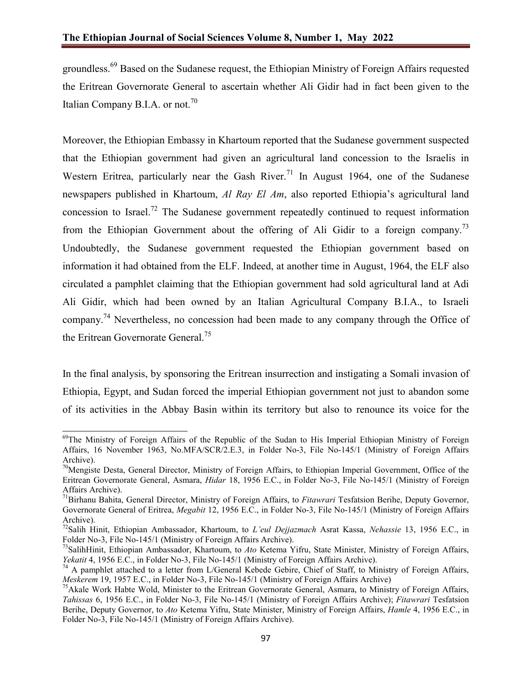groundless.<sup>69</sup> Based on the Sudanese request, the Ethiopian Ministry of Foreign Affairs requested the Eritrean Governorate General to ascertain whether Ali Gidir had in fact been given to the Italian Company B.I.A. or not.<sup>70</sup>

Moreover, the Ethiopian Embassy in Khartoum reported that the Sudanese government suspected that the Ethiopian government had given an agricultural land concession to the Israelis in Western Eritrea, particularly near the Gash River.<sup>71</sup> In August 1964, one of the Sudanese newspapers published in Khartoum, *Al Ray El Am*, also reported Ethiopia's agricultural land concession to Israel.<sup>72</sup> The Sudanese government repeatedly continued to request information from the Ethiopian Government about the offering of Ali Gidir to a foreign company.<sup>73</sup> Undoubtedly, the Sudanese government requested the Ethiopian government based on information it had obtained from the ELF. Indeed, at another time in August, 1964, the ELF also circulated a pamphlet claiming that the Ethiopian government had sold agricultural land at Adi Ali Gidir, which had been owned by an Italian Agricultural Company B.I.A., to Israeli company.<sup>74</sup> Nevertheless, no concession had been made to any company through the Office of the Eritrean Governorate General.<sup>75</sup>

In the final analysis, by sponsoring the Eritrean insurrection and instigating a Somali invasion of Ethiopia, Egypt, and Sudan forced the imperial Ethiopian government not just to abandon some of its activities in the Abbay Basin within its territory but also to renounce its voice for the

<sup>&</sup>lt;sup>69</sup>The Ministry of Foreign Affairs of the Republic of the Sudan to His Imperial Ethiopian Ministry of Foreign Affairs, 16 November 1963, No.MFA/SCR/2.E.3, in Folder No-3, File No-145/1 (Ministry of Foreign Affairs Archive).

<sup>&</sup>lt;sup>70</sup>Mengiste Desta, General Director, Ministry of Foreign Affairs, to Ethiopian Imperial Government, Office of the Eritrean Governorate General, Asmara, *Hidar* 18, 1956 E.C., in Folder No-3, File No-145/1 (Ministry of Foreign Affairs Archive).

<sup>71</sup>Birhanu Bahita, General Director, Ministry of Foreign Affairs, to *Fitawrari* Tesfatsion Berihe, Deputy Governor, Governorate General of Eritrea, *Megabit* 12, 1956 E.C., in Folder No-3, File No-145/1 (Ministry of Foreign Affairs Archive).

<sup>72</sup>Salih Hinit, Ethiopian Ambassador, Khartoum, to *L'eul Dejjazmach* Asrat Kassa, *Nehassie* 13, 1956 E.C., in Folder No-3, File No-145/1 (Ministry of Foreign Affairs Archive).

<sup>73</sup>SalihHinit, Ethiopian Ambassador, Khartoum, to *Ato* Ketema Yifru, State Minister, Ministry of Foreign Affairs, *Yekatit* 4, 1956 E.C., in Folder No-3, File No-145/1 (Ministry of Foreign Affairs Archive).

<sup>&</sup>lt;sup>74</sup> A pamphlet attached to a letter from L/General Kebede Gebire, Chief of Staff, to Ministry of Foreign Affairs, *Meskerem* 19, 1957 E.C., in Folder No-3, File No-145/1 (Ministry of Foreign Affairs Archive)

<sup>&</sup>lt;sup>75</sup> Akale Work Habte Wold, Minister to the Eritrean Governorate General, Asmara, to Ministry of Foreign Affairs, *Tahissas* 6, 1956 E.C., in Folder No-3, File No-145/1 (Ministry of Foreign Affairs Archive); *Fitawrari* Tesfatsion Berihe, Deputy Governor, to *Ato* Ketema Yifru, State Minister, Ministry of Foreign Affairs, *Hamle* 4, 1956 E.C., in Folder No-3, File No-145/1 (Ministry of Foreign Affairs Archive).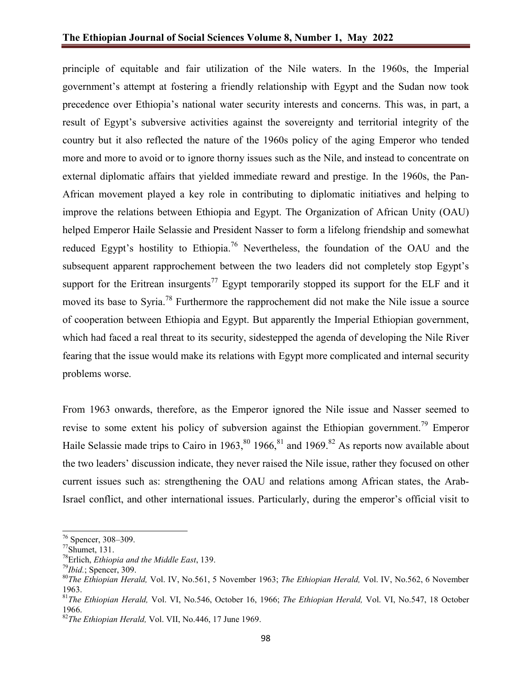principle of equitable and fair utilization of the Nile waters. In the 1960s, the Imperial government's attempt at fostering a friendly relationship with Egypt and the Sudan now took precedence over Ethiopia's national water security interests and concerns. This was, in part, a result of Egypt's subversive activities against the sovereignty and territorial integrity of the country but it also reflected the nature of the 1960s policy of the aging Emperor who tended more and more to avoid or to ignore thorny issues such as the Nile, and instead to concentrate on external diplomatic affairs that yielded immediate reward and prestige. In the 1960s, the Pan-African movement played a key role in contributing to diplomatic initiatives and helping to improve the relations between Ethiopia and Egypt. The Organization of African Unity (OAU) helped Emperor Haile Selassie and President Nasser to form a lifelong friendship and somewhat reduced Egypt's hostility to Ethiopia.<sup>76</sup> Nevertheless, the foundation of the OAU and the subsequent apparent rapprochement between the two leaders did not completely stop Egypt's support for the Eritrean insurgents<sup>77</sup> Egypt temporarily stopped its support for the ELF and it moved its base to Syria.<sup>78</sup> Furthermore the rapprochement did not make the Nile issue a source of cooperation between Ethiopia and Egypt. But apparently the Imperial Ethiopian government, which had faced a real threat to its security, sidestepped the agenda of developing the Nile River fearing that the issue would make its relations with Egypt more complicated and internal security problems worse.

From 1963 onwards, therefore, as the Emperor ignored the Nile issue and Nasser seemed to revise to some extent his policy of subversion against the Ethiopian government.<sup>79</sup> Emperor Haile Selassie made trips to Cairo in 1963,  $80$  1966,  $81$  and 1969.  $82$  As reports now available about the two leaders' discussion indicate, they never raised the Nile issue, rather they focused on other current issues such as: strengthening the OAU and relations among African states, the Arab-Israel conflict, and other international issues. Particularly, during the emperor's official visit to

 $^{76}$  Spencer, 308–309.<br> $^{77}$ Shumet, 131.

<sup>78</sup>Erlich, *Ethiopia and the Middle East*, 139.

<sup>79</sup>*Ibid.*; Spencer, 309.

<sup>80</sup>*The Ethiopian Herald,* Vol. IV, No.561, 5 November 1963; *The Ethiopian Herald,* Vol. IV, No.562, 6 November 1963.

<sup>81</sup>*The Ethiopian Herald,* Vol. VI, No.546, October 16, 1966; *The Ethiopian Herald,* Vol. VI, No.547, 18 October 1966.

<sup>82</sup>*The Ethiopian Herald,* Vol. VII, No.446, 17 June 1969.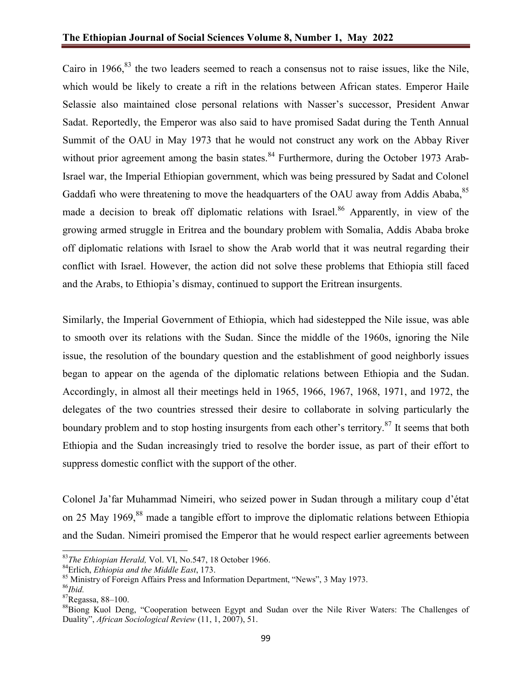Cairo in 1966, $83$  the two leaders seemed to reach a consensus not to raise issues, like the Nile, which would be likely to create a rift in the relations between African states. Emperor Haile Selassie also maintained close personal relations with Nasser's successor, President Anwar Sadat. Reportedly, the Emperor was also said to have promised Sadat during the Tenth Annual Summit of the OAU in May 1973 that he would not construct any work on the Abbay River without prior agreement among the basin states. $84$  Furthermore, during the October 1973 Arab-Israel war, the Imperial Ethiopian government, which was being pressured by Sadat and Colonel Gaddafi who were threatening to move the headquarters of the OAU away from Addis Ababa,<sup>85</sup> made a decision to break off diplomatic relations with Israel.<sup>86</sup> Apparently, in view of the growing armed struggle in Eritrea and the boundary problem with Somalia, Addis Ababa broke off diplomatic relations with Israel to show the Arab world that it was neutral regarding their conflict with Israel. However, the action did not solve these problems that Ethiopia still faced and the Arabs, to Ethiopia's dismay, continued to support the Eritrean insurgents.

Similarly, the Imperial Government of Ethiopia, which had sidestepped the Nile issue, was able to smooth over its relations with the Sudan. Since the middle of the 1960s, ignoring the Nile issue, the resolution of the boundary question and the establishment of good neighborly issues began to appear on the agenda of the diplomatic relations between Ethiopia and the Sudan. Accordingly, in almost all their meetings held in 1965, 1966, 1967, 1968, 1971, and 1972, the delegates of the two countries stressed their desire to collaborate in solving particularly the boundary problem and to stop hosting insurgents from each other's territory.<sup>87</sup> It seems that both Ethiopia and the Sudan increasingly tried to resolve the border issue, as part of their effort to suppress domestic conflict with the support of the other.

Colonel Ja'far Muhammad Nimeiri, who seized power in Sudan through a military coup d'état on 25 May 1969,<sup>88</sup> made a tangible effort to improve the diplomatic relations between Ethiopia and the Sudan. Nimeiri promised the Emperor that he would respect earlier agreements between

<sup>83</sup>*The Ethiopian Herald,* Vol. VI, No.547, 18 October 1966.

<sup>84</sup>Erlich, *Ethiopia and the Middle East*, 173.

<sup>&</sup>lt;sup>85</sup> Ministry of Foreign Affairs Press and Information Department, "News", 3 May 1973.

<sup>86</sup>*Ibid.*

<sup>87</sup>Regassa, 88–100.

<sup>&</sup>lt;sup>88</sup>Biong Kuol Deng, "Cooperation between Egypt and Sudan over the Nile River Waters: The Challenges of Duality", *African Sociological Review* (11, 1, 2007), 51.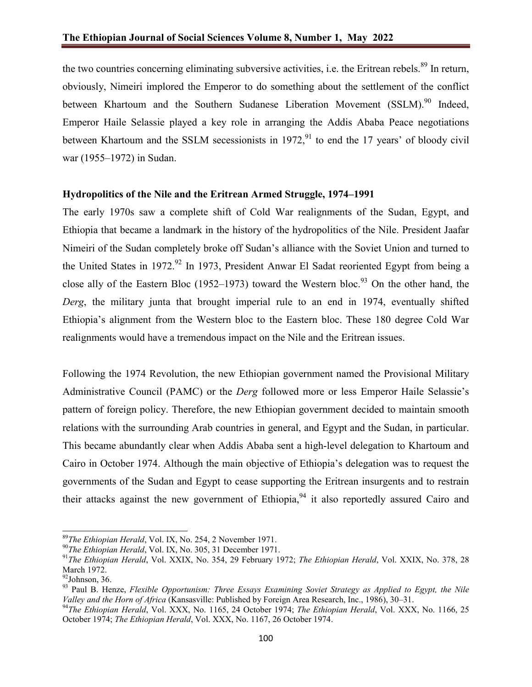the two countries concerning eliminating subversive activities, i.e. the Eritrean rebels.<sup>89</sup> In return, obviously, Nimeiri implored the Emperor to do something about the settlement of the conflict between Khartoum and the Southern Sudanese Liberation Movement (SSLM).<sup>90</sup> Indeed, Emperor Haile Selassie played a key role in arranging the Addis Ababa Peace negotiations between Khartoum and the SSLM secessionists in  $1972<sup>91</sup>$  to end the 17 years' of bloody civil war (1955–1972) in Sudan.

# **Hydropolitics of the Nile and the Eritrean Armed Struggle, 1974–1991**

The early 1970s saw a complete shift of Cold War realignments of the Sudan, Egypt, and Ethiopia that became a landmark in the history of the hydropolitics of the Nile. President Jaafar Nimeiri of the Sudan completely broke off Sudan's alliance with the Soviet Union and turned to the United States in 1972.<sup>92</sup> In 1973, President Anwar El Sadat reoriented Egypt from being a close ally of the Eastern Bloc (1952–1973) toward the Western bloc.<sup>93</sup> On the other hand, the *Derg*, the military junta that brought imperial rule to an end in 1974, eventually shifted Ethiopia's alignment from the Western bloc to the Eastern bloc. These 180 degree Cold War realignments would have a tremendous impact on the Nile and the Eritrean issues.

Following the 1974 Revolution, the new Ethiopian government named the Provisional Military Administrative Council (PAMC) or the *Derg* followed more or less Emperor Haile Selassie's pattern of foreign policy. Therefore, the new Ethiopian government decided to maintain smooth relations with the surrounding Arab countries in general, and Egypt and the Sudan, in particular. This became abundantly clear when Addis Ababa sent a high-level delegation to Khartoum and Cairo in October 1974. Although the main objective of Ethiopia's delegation was to request the governments of the Sudan and Egypt to cease supporting the Eritrean insurgents and to restrain their attacks against the new government of Ethiopia,  $94$  it also reportedly assured Cairo and

<sup>89</sup>*The Ethiopian Herald*, Vol. IX, No. 254, 2 November 1971.

<sup>&</sup>lt;sup>90</sup>The Ethiopian Herald, Vol. IX, No. 305, 31 December 1971.

<sup>91</sup>*The Ethiopian Herald*, Vol. XXIX, No. 354, 29 February 1972; *The Ethiopian Herald*, Vol. XXIX, No. 378, 28 March 1972.

<sup>92</sup>Johnson, 36.

<sup>93</sup> Paul B. Henze, *Flexible Opportunism: Three Essays Examining Soviet Strategy as Applied to Egypt, the Nile Valley and the Horn of Africa* (Kansasville: Published by Foreign Area Research, Inc., 1986), 30–31.

<sup>94</sup>*The Ethiopian Herald*, Vol. XXX, No. 1165, 24 October 1974; *The Ethiopian Herald*, Vol. XXX, No. 1166, 25 October 1974; *The Ethiopian Herald*, Vol. XXX, No. 1167, 26 October 1974.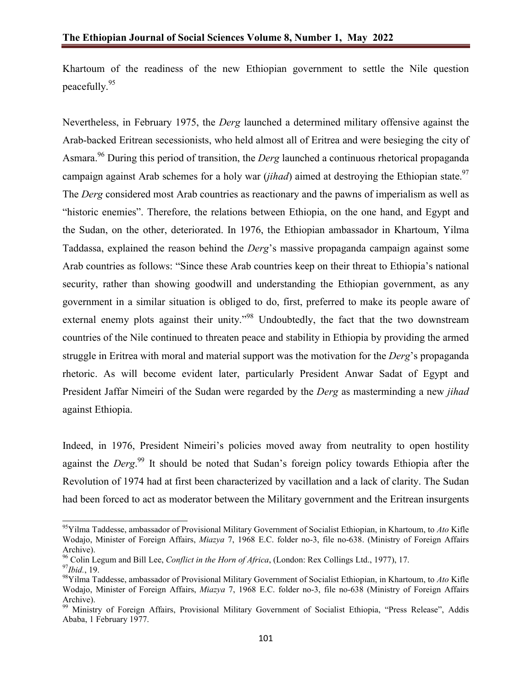Khartoum of the readiness of the new Ethiopian government to settle the Nile question peacefully.<sup>95</sup>

Nevertheless, in February 1975, the *Derg* launched a determined military offensive against the Arab-backed Eritrean secessionists, who held almost all of Eritrea and were besieging the city of Asmara.96 During this period of transition, the *Derg* launched a continuous rhetorical propaganda campaign against Arab schemes for a holy war (*jihad*) aimed at destroying the Ethiopian state. 97 The *Derg* considered most Arab countries as reactionary and the pawns of imperialism as well as "historic enemies". Therefore, the relations between Ethiopia, on the one hand, and Egypt and the Sudan, on the other, deteriorated. In 1976, the Ethiopian ambassador in Khartoum, Yilma Taddassa, explained the reason behind the *Derg*'s massive propaganda campaign against some Arab countries as follows: "Since these Arab countries keep on their threat to Ethiopia's national security, rather than showing goodwill and understanding the Ethiopian government, as any government in a similar situation is obliged to do, first, preferred to make its people aware of external enemy plots against their unity."<sup>98</sup> Undoubtedly, the fact that the two downstream countries of the Nile continued to threaten peace and stability in Ethiopia by providing the armed struggle in Eritrea with moral and material support was the motivation for the *Derg*'s propaganda rhetoric. As will become evident later, particularly President Anwar Sadat of Egypt and President Jaffar Nimeiri of the Sudan were regarded by the *Derg* as masterminding a new *jihad* against Ethiopia.

Indeed, in 1976, President Nimeiri's policies moved away from neutrality to open hostility against the *Derg*. <sup>99</sup> It should be noted that Sudan's foreign policy towards Ethiopia after the Revolution of 1974 had at first been characterized by vacillation and a lack of clarity. The Sudan had been forced to act as moderator between the Military government and the Eritrean insurgents

95Yilma Taddesse, ambassador of Provisional Military Government of Socialist Ethiopian, in Khartoum, to *Ato* Kifle Wodajo, Minister of Foreign Affairs, *Miazya* 7, 1968 E.C. folder no-3, file no-638. (Ministry of Foreign Affairs Archive).

<sup>96</sup> Colin Legum and Bill Lee, *Conflict in the Horn of Africa*, (London: Rex Collings Ltd., 1977), 17. <sup>97</sup>*Ibid.*, 19.

<sup>98</sup>Yilma Taddesse, ambassador of Provisional Military Government of Socialist Ethiopian, in Khartoum, to *Ato* Kifle Wodajo, Minister of Foreign Affairs, *Miazya* 7, 1968 E.C. folder no-3, file no-638 (Ministry of Foreign Affairs Archive).

<sup>&</sup>lt;sup>99</sup> Ministry of Foreign Affairs, Provisional Military Government of Socialist Ethiopia, "Press Release", Addis Ababa, 1 February 1977.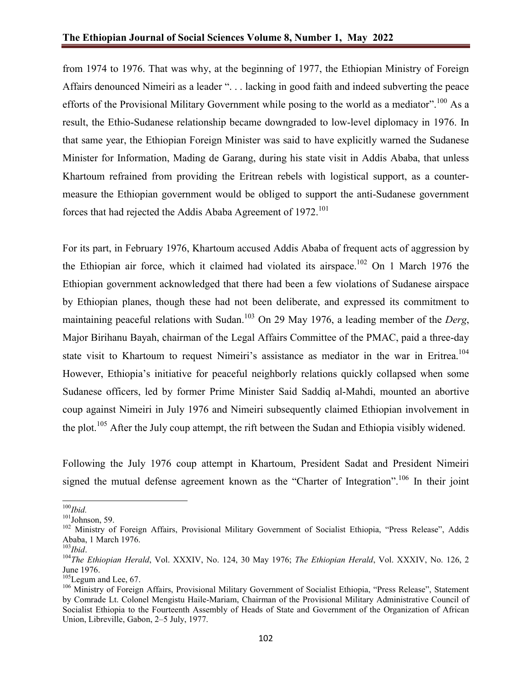from 1974 to 1976. That was why, at the beginning of 1977, the Ethiopian Ministry of Foreign Affairs denounced Nimeiri as a leader ". . . lacking in good faith and indeed subverting the peace efforts of the Provisional Military Government while posing to the world as a mediator".<sup>100</sup> As a result, the Ethio-Sudanese relationship became downgraded to low-level diplomacy in 1976. In that same year, the Ethiopian Foreign Minister was said to have explicitly warned the Sudanese Minister for Information, Mading de Garang, during his state visit in Addis Ababa, that unless Khartoum refrained from providing the Eritrean rebels with logistical support, as a countermeasure the Ethiopian government would be obliged to support the anti-Sudanese government forces that had rejected the Addis Ababa Agreement of  $1972$ <sup>101</sup>

For its part, in February 1976, Khartoum accused Addis Ababa of frequent acts of aggression by the Ethiopian air force, which it claimed had violated its airspace.<sup>102</sup> On 1 March 1976 the Ethiopian government acknowledged that there had been a few violations of Sudanese airspace by Ethiopian planes, though these had not been deliberate, and expressed its commitment to maintaining peaceful relations with Sudan.<sup>103</sup> On 29 May 1976, a leading member of the *Derg*, Major Birihanu Bayah, chairman of the Legal Affairs Committee of the PMAC, paid a three-day state visit to Khartoum to request Nimeiri's assistance as mediator in the war in Eritrea.<sup>104</sup> However, Ethiopia's initiative for peaceful neighborly relations quickly collapsed when some Sudanese officers, led by former Prime Minister Said Saddiq al-Mahdi, mounted an abortive coup against Nimeiri in July 1976 and Nimeiri subsequently claimed Ethiopian involvement in the plot.<sup>105</sup> After the July coup attempt, the rift between the Sudan and Ethiopia visibly widened.

Following the July 1976 coup attempt in Khartoum, President Sadat and President Nimeiri signed the mutual defense agreement known as the "Charter of Integration".<sup>106</sup> In their joint

<sup>100</sup>*Ibid.*

 $101$ Johnson, 59.

<sup>&</sup>lt;sup>102</sup> Ministry of Foreign Affairs, Provisional Military Government of Socialist Ethiopia, "Press Release", Addis Ababa, 1 March 1976.<br><sup>103</sup>*Ibid*.

<sup>&</sup>lt;sup>104</sup>The Ethiopian Herald, Vol. XXXIV, No. 124, 30 May 1976; *The Ethiopian Herald*, Vol. XXXIV, No. 126, 2 June 1976.

<sup>&</sup>lt;sup>105</sup>Legum and Lee, 67.

<sup>&</sup>lt;sup>106</sup> Ministry of Foreign Affairs, Provisional Military Government of Socialist Ethiopia, "Press Release", Statement by Comrade Lt. Colonel Mengistu Haile-Mariam, Chairman of the Provisional Military Administrative Council of Socialist Ethiopia to the Fourteenth Assembly of Heads of State and Government of the Organization of African Union, Libreville, Gabon, 2–5 July, 1977.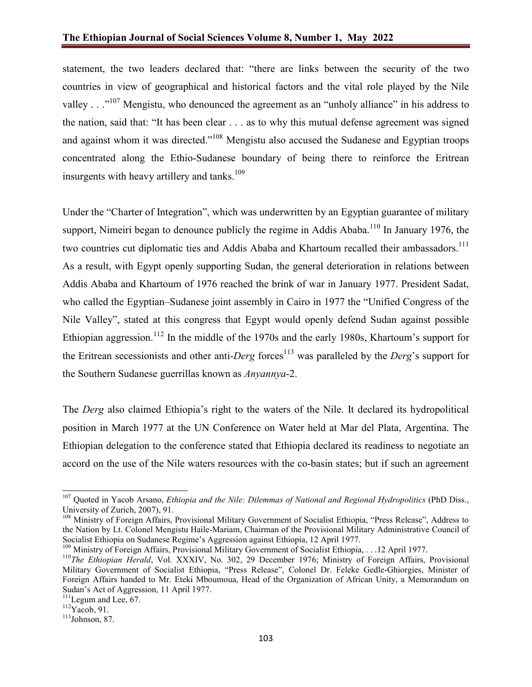statement, the two leaders declared that: "there are links between the security of the two countries in view of geographical and historical factors and the vital role played by the Nile valley . . ."<sup>107</sup> Mengistu, who denounced the agreement as an "unholy alliance" in his address to the nation, said that: "It has been clear . . . as to why this mutual defense agreement was signed and against whom it was directed."<sup>108</sup> Mengistu also accused the Sudanese and Egyptian troops concentrated along the Ethio-Sudanese boundary of being there to reinforce the Eritrean insurgents with heavy artillery and tanks.<sup>109</sup>

Under the "Charter of Integration", which was underwritten by an Egyptian guarantee of military support, Nimeiri began to denounce publicly the regime in Addis Ababa.<sup>110</sup> In January 1976, the two countries cut diplomatic ties and Addis Ababa and Khartoum recalled their ambassadors.<sup>111</sup> As a result, with Egypt openly supporting Sudan, the general deterioration in relations between Addis Ababa and Khartoum of 1976 reached the brink of war in January 1977. President Sadat, who called the Egyptian–Sudanese joint assembly in Cairo in 1977 the "Unified Congress of the Nile Valley", stated at this congress that Egypt would openly defend Sudan against possible Ethiopian aggression.<sup>112</sup> In the middle of the 1970s and the early 1980s, Khartoum's support for the Eritrean secessionists and other anti-*Derg* forces<sup>113</sup> was paralleled by the *Derg*'s support for the Southern Sudanese guerrillas known as *Anyannya*-2.

The *Derg* also claimed Ethiopia's right to the waters of the Nile. It declared its hydropolitical position in March 1977 at the UN Conference on Water held at Mar del Plata, Argentina. The Ethiopian delegation to the conference stated that Ethiopia declared its readiness to negotiate an accord on the use of the Nile waters resources with the co-basin states; but if such an agreement

<sup>109</sup> Ministry of Foreign Affairs, Provisional Military Government of Socialist Ethiopia, . . .12 April 1977.

<sup>107</sup> Quoted in Yacob Arsano, *Ethiopia and the Nile: Dilemmas of National and Regional Hydropolitics* (PhD Diss., University of Zurich, 2007), 91.

<sup>&</sup>lt;sup>108</sup> Ministry of Foreign Affairs, Provisional Military Government of Socialist Ethiopia, "Press Release", Address to the Nation by Lt. Colonel Mengistu Haile-Mariam, Chairman of the Provisional Military Administrative Council of Socialist Ethiopia on Sudanese Regime's Aggression against Ethiopia, 12 April 1977.

<sup>&</sup>lt;sup>110</sup>The Ethiopian Herald, Vol. XXXIV, No. 302, 29 December 1976; Ministry of Foreign Affairs, Provisional Military Government of Socialist Ethiopia, "Press Release", Colonel Dr. Feleke Gedle-Ghiorgies, Minister of Foreign Affairs handed to Mr. Eteki Mboumoua, Head of the Organization of African Unity, a Memorandum on Sudan's Act of Aggression, 11 April 1977.

<sup>&</sup>lt;sup>111</sup>Legum and Lee, 67.<br><sup>112</sup>Yacob, 91.

 $113$ Johnson, 87.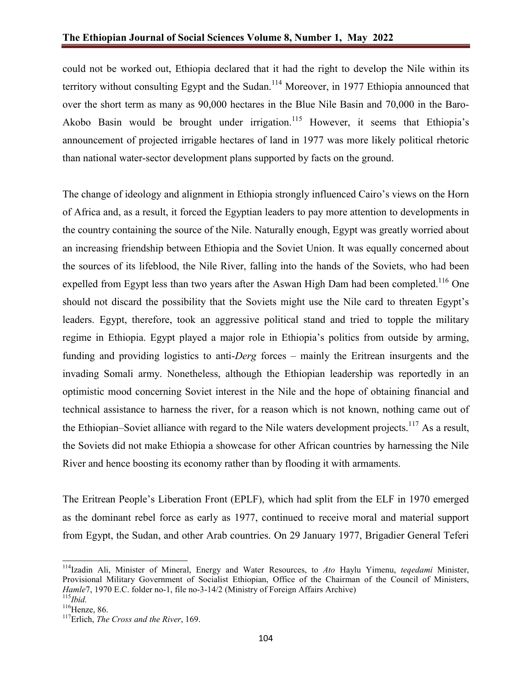could not be worked out, Ethiopia declared that it had the right to develop the Nile within its territory without consulting Egypt and the Sudan.<sup>114</sup> Moreover, in 1977 Ethiopia announced that over the short term as many as 90,000 hectares in the Blue Nile Basin and 70,000 in the Baro-Akobo Basin would be brought under irrigation.<sup>115</sup> However, it seems that Ethiopia's announcement of projected irrigable hectares of land in 1977 was more likely political rhetoric than national water-sector development plans supported by facts on the ground.

The change of ideology and alignment in Ethiopia strongly influenced Cairo's views on the Horn of Africa and, as a result, it forced the Egyptian leaders to pay more attention to developments in the country containing the source of the Nile. Naturally enough, Egypt was greatly worried about an increasing friendship between Ethiopia and the Soviet Union. It was equally concerned about the sources of its lifeblood, the Nile River, falling into the hands of the Soviets, who had been expelled from Egypt less than two years after the Aswan High Dam had been completed.<sup>116</sup> One should not discard the possibility that the Soviets might use the Nile card to threaten Egypt's leaders. Egypt, therefore, took an aggressive political stand and tried to topple the military regime in Ethiopia. Egypt played a major role in Ethiopia's politics from outside by arming, funding and providing logistics to anti-*Derg* forces – mainly the Eritrean insurgents and the invading Somali army. Nonetheless, although the Ethiopian leadership was reportedly in an optimistic mood concerning Soviet interest in the Nile and the hope of obtaining financial and technical assistance to harness the river, for a reason which is not known, nothing came out of the Ethiopian–Soviet alliance with regard to the Nile waters development projects.<sup>117</sup> As a result, the Soviets did not make Ethiopia a showcase for other African countries by harnessing the Nile River and hence boosting its economy rather than by flooding it with armaments.

The Eritrean People's Liberation Front (EPLF), which had split from the ELF in 1970 emerged as the dominant rebel force as early as 1977, continued to receive moral and material support from Egypt, the Sudan, and other Arab countries. On 29 January 1977, Brigadier General Teferi

114Izadin Ali, Minister of Mineral, Energy and Water Resources, to *Ato* Haylu Yimenu, *teqedami* Minister, Provisional Military Government of Socialist Ethiopian, Office of the Chairman of the Council of Ministers, *Hamle*7, 1970 E.C. folder no-1, file no-3-14/2 (Ministry of Foreign Affairs Archive) <sup>115</sup>*Ibid.*

 $116$ Henze, 86.

<sup>117</sup>Erlich, *The Cross and the River*, 169.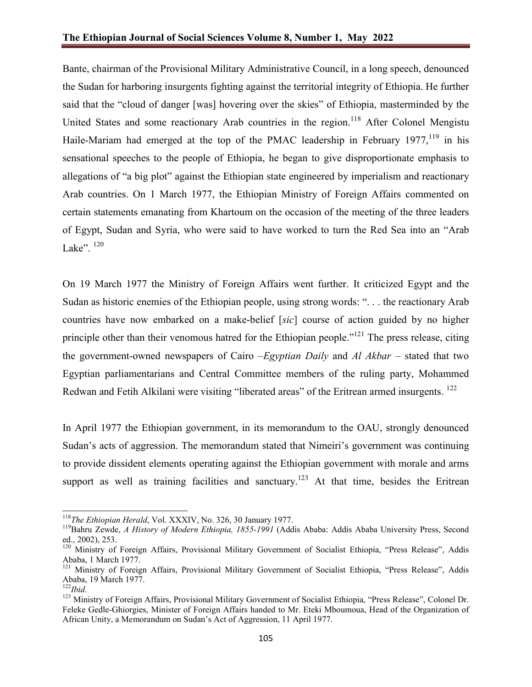Bante, chairman of the Provisional Military Administrative Council, in a long speech, denounced the Sudan for harboring insurgents fighting against the territorial integrity of Ethiopia. He further said that the "cloud of danger [was] hovering over the skies" of Ethiopia, masterminded by the United States and some reactionary Arab countries in the region.<sup>118</sup> After Colonel Mengistu Haile-Mariam had emerged at the top of the PMAC leadership in February 1977,  $19$  in his sensational speeches to the people of Ethiopia, he began to give disproportionate emphasis to allegations of "a big plot" against the Ethiopian state engineered by imperialism and reactionary Arab countries. On 1 March 1977, the Ethiopian Ministry of Foreign Affairs commented on certain statements emanating from Khartoum on the occasion of the meeting of the three leaders of Egypt, Sudan and Syria, who were said to have worked to turn the Red Sea into an "Arab Lake". 120

On 19 March 1977 the Ministry of Foreign Affairs went further. It criticized Egypt and the Sudan as historic enemies of the Ethiopian people, using strong words: ". . . the reactionary Arab countries have now embarked on a make-belief [*sic*] course of action guided by no higher principle other than their venomous hatred for the Ethiopian people."<sup>121</sup> The press release, citing the government-owned newspapers of Cairo –*Egyptian Daily* and *Al Akbar* – stated that two Egyptian parliamentarians and Central Committee members of the ruling party, Mohammed Redwan and Fetih Alkilani were visiting "liberated areas" of the Eritrean armed insurgents. <sup>122</sup>

In April 1977 the Ethiopian government, in its memorandum to the OAU, strongly denounced Sudan's acts of aggression. The memorandum stated that Nimeiri's government was continuing to provide dissident elements operating against the Ethiopian government with morale and arms support as well as training facilities and sanctuary.<sup>123</sup> At that time, besides the Eritrean

<sup>118</sup>*The Ethiopian Herald*, Vol. XXXIV, No. 326, 30 January 1977.

<sup>119</sup>Bahru Zewde, *A History of Modern Ethiopia, 1855-1991* (Addis Ababa: Addis Ababa University Press, Second ed., 2002), 253.

<sup>&</sup>lt;sup>120</sup> Ministry of Foreign Affairs, Provisional Military Government of Socialist Ethiopia, "Press Release", Addis Ababa, 1 March 1977.

<sup>&</sup>lt;sup>121</sup> Ministry of Foreign Affairs, Provisional Military Government of Socialist Ethiopia, "Press Release", Addis Ababa, 19 March 1977.

<sup>122</sup>*Ibid.*

<sup>&</sup>lt;sup>123</sup> Ministry of Foreign Affairs, Provisional Military Government of Socialist Ethiopia, "Press Release", Colonel Dr. Feleke Gedle-Ghiorgies, Minister of Foreign Affairs handed to Mr. Eteki Mboumoua, Head of the Organization of African Unity, a Memorandum on Sudan's Act of Aggression, 11 April 1977.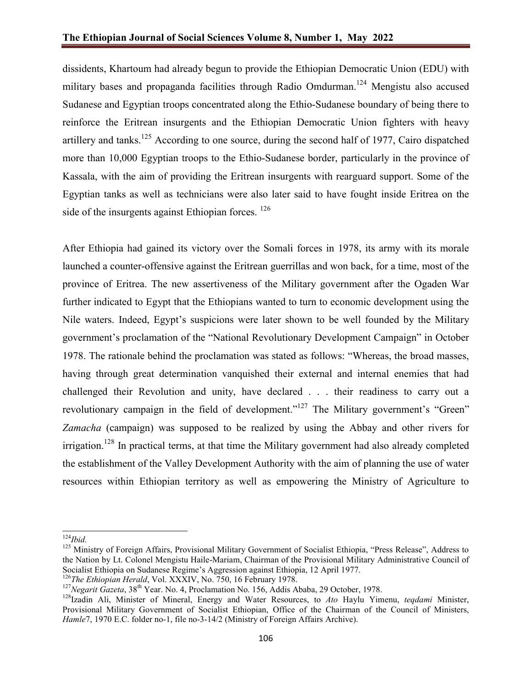dissidents, Khartoum had already begun to provide the Ethiopian Democratic Union (EDU) with military bases and propaganda facilities through Radio Omdurman.<sup>124</sup> Mengistu also accused Sudanese and Egyptian troops concentrated along the Ethio-Sudanese boundary of being there to reinforce the Eritrean insurgents and the Ethiopian Democratic Union fighters with heavy artillery and tanks.<sup>125</sup> According to one source, during the second half of 1977, Cairo dispatched more than 10,000 Egyptian troops to the Ethio-Sudanese border, particularly in the province of Kassala, with the aim of providing the Eritrean insurgents with rearguard support. Some of the Egyptian tanks as well as technicians were also later said to have fought inside Eritrea on the side of the insurgents against Ethiopian forces.<sup>126</sup>

After Ethiopia had gained its victory over the Somali forces in 1978, its army with its morale launched a counter-offensive against the Eritrean guerrillas and won back, for a time, most of the province of Eritrea. The new assertiveness of the Military government after the Ogaden War further indicated to Egypt that the Ethiopians wanted to turn to economic development using the Nile waters. Indeed, Egypt's suspicions were later shown to be well founded by the Military government's proclamation of the "National Revolutionary Development Campaign" in October 1978. The rationale behind the proclamation was stated as follows: "Whereas, the broad masses, having through great determination vanquished their external and internal enemies that had challenged their Revolution and unity, have declared . . . their readiness to carry out a revolutionary campaign in the field of development."<sup>127</sup> The Military government's "Green" *Zamacha* (campaign) was supposed to be realized by using the Abbay and other rivers for irrigation.<sup>128</sup> In practical terms, at that time the Military government had also already completed the establishment of the Valley Development Authority with the aim of planning the use of water resources within Ethiopian territory as well as empowering the Ministry of Agriculture to

<sup>124</sup>*Ibid.*

<sup>&</sup>lt;sup>125</sup> Ministry of Foreign Affairs, Provisional Military Government of Socialist Ethiopia, "Press Release", Address to the Nation by Lt. Colonel Mengistu Haile-Mariam, Chairman of the Provisional Military Administrative Council of Socialist Ethiopia on Sudanese Regime's Aggression against Ethiopia, 12 April 1977.

<sup>&</sup>lt;sup>126</sup>The Ethiopian Herald, Vol. XXXIV, No. 750, 16 February 1978.

<sup>&</sup>lt;sup>127</sup>Negarit Gazeta, 38<sup>th</sup> Year. No. 4, Proclamation No. 156, Addis Ababa, 29 October, 1978.

<sup>128</sup>Izadin Ali, Minister of Mineral, Energy and Water Resources, to *Ato* Haylu Yimenu, *teqdami* Minister, Provisional Military Government of Socialist Ethiopian, Office of the Chairman of the Council of Ministers, *Hamle*7, 1970 E.C. folder no-1, file no-3-14/2 (Ministry of Foreign Affairs Archive).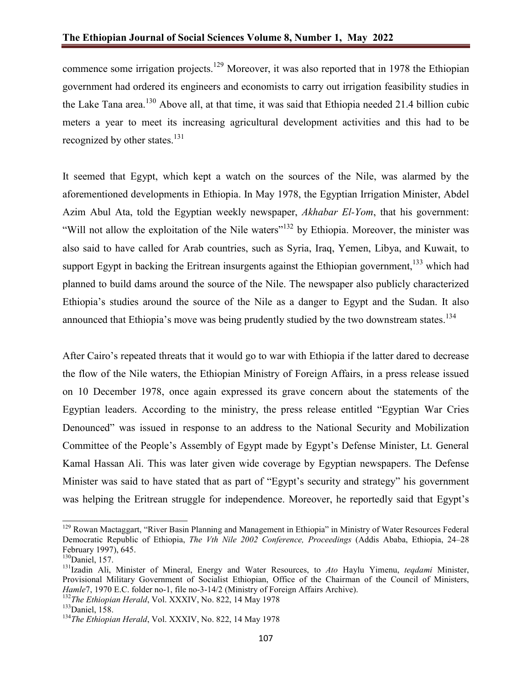commence some irrigation projects.<sup>129</sup> Moreover, it was also reported that in 1978 the Ethiopian government had ordered its engineers and economists to carry out irrigation feasibility studies in the Lake Tana area.<sup>130</sup> Above all, at that time, it was said that Ethiopia needed 21.4 billion cubic meters a year to meet its increasing agricultural development activities and this had to be recognized by other states. $^{131}$ 

It seemed that Egypt, which kept a watch on the sources of the Nile, was alarmed by the aforementioned developments in Ethiopia. In May 1978, the Egyptian Irrigation Minister, Abdel Azim Abul Ata, told the Egyptian weekly newspaper, *Akhabar El-Yom*, that his government: "Will not allow the exploitation of the Nile waters"<sup>132</sup> by Ethiopia. Moreover, the minister was also said to have called for Arab countries, such as Syria, Iraq, Yemen, Libya, and Kuwait, to support Egypt in backing the Eritrean insurgents against the Ethiopian government,  $133$  which had planned to build dams around the source of the Nile. The newspaper also publicly characterized Ethiopia's studies around the source of the Nile as a danger to Egypt and the Sudan. It also announced that Ethiopia's move was being prudently studied by the two downstream states.<sup>134</sup>

After Cairo's repeated threats that it would go to war with Ethiopia if the latter dared to decrease the flow of the Nile waters, the Ethiopian Ministry of Foreign Affairs, in a press release issued on 10 December 1978, once again expressed its grave concern about the statements of the Egyptian leaders. According to the ministry, the press release entitled "Egyptian War Cries Denounced" was issued in response to an address to the National Security and Mobilization Committee of the People's Assembly of Egypt made by Egypt's Defense Minister, Lt. General Kamal Hassan Ali. This was later given wide coverage by Egyptian newspapers. The Defense Minister was said to have stated that as part of "Egypt's security and strategy" his government was helping the Eritrean struggle for independence. Moreover, he reportedly said that Egypt's

<sup>&</sup>lt;sup>129</sup> Rowan Mactaggart, "River Basin Planning and Management in Ethiopia" in Ministry of Water Resources Federal Democratic Republic of Ethiopia, *The Vth Nile 2002 Conference, Proceedings* (Addis Ababa, Ethiopia, 24–28 February 1997), 645.

<sup>&</sup>lt;sup>130</sup>Daniel, 157.

<sup>131</sup>Izadin Ali, Minister of Mineral, Energy and Water Resources, to *Ato* Haylu Yimenu, *teqdami* Minister, Provisional Military Government of Socialist Ethiopian, Office of the Chairman of the Council of Ministers, *Hamle*7, 1970 E.C. folder no-1, file no-3-14/2 (Ministry of Foreign Affairs Archive).

<sup>132</sup>*The Ethiopian Herald*, Vol. XXXIV, No. 822, 14 May 1978

<sup>133</sup>Daniel, 158.

<sup>134</sup>*The Ethiopian Herald*, Vol. XXXIV, No. 822, 14 May 1978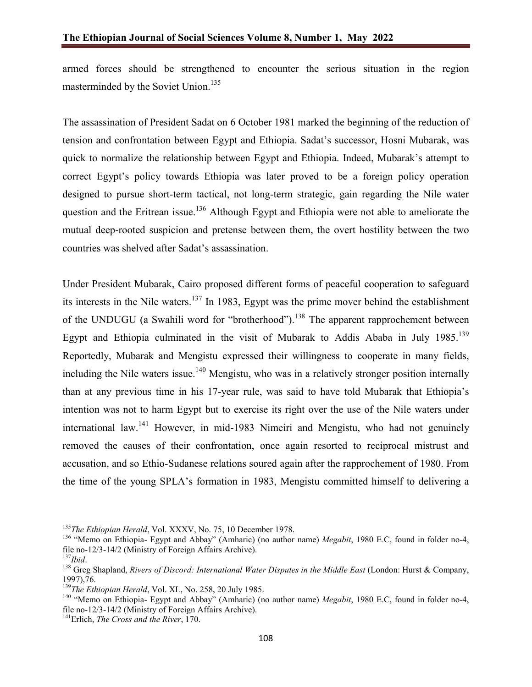armed forces should be strengthened to encounter the serious situation in the region masterminded by the Soviet Union.<sup>135</sup>

The assassination of President Sadat on 6 October 1981 marked the beginning of the reduction of tension and confrontation between Egypt and Ethiopia. Sadat's successor, Hosni Mubarak, was quick to normalize the relationship between Egypt and Ethiopia. Indeed, Mubarak's attempt to correct Egypt's policy towards Ethiopia was later proved to be a foreign policy operation designed to pursue short-term tactical, not long-term strategic, gain regarding the Nile water question and the Eritrean issue.<sup>136</sup> Although Egypt and Ethiopia were not able to ameliorate the mutual deep-rooted suspicion and pretense between them, the overt hostility between the two countries was shelved after Sadat's assassination.

Under President Mubarak, Cairo proposed different forms of peaceful cooperation to safeguard its interests in the Nile waters.<sup>137</sup> In 1983, Egypt was the prime mover behind the establishment of the UNDUGU (a Swahili word for "brotherhood").<sup>138</sup> The apparent rapprochement between Egypt and Ethiopia culminated in the visit of Mubarak to Addis Ababa in July 1985.<sup>139</sup> Reportedly, Mubarak and Mengistu expressed their willingness to cooperate in many fields, including the Nile waters issue.<sup>140</sup> Mengistu, who was in a relatively stronger position internally than at any previous time in his 17-year rule, was said to have told Mubarak that Ethiopia's intention was not to harm Egypt but to exercise its right over the use of the Nile waters under international law.<sup>141</sup> However, in mid-1983 Nimeiri and Mengistu, who had not genuinely removed the causes of their confrontation, once again resorted to reciprocal mistrust and accusation, and so Ethio-Sudanese relations soured again after the rapprochement of 1980. From the time of the young SPLA's formation in 1983, Mengistu committed himself to delivering a

<sup>&</sup>lt;sup>135</sup>The Ethiopian Herald, Vol. XXXV, No. 75, 10 December 1978.

<sup>136</sup> "Memo on Ethiopia- Egypt and Abbay" (Amharic) (no author name) *Megabit*, 1980 E.C, found in folder no-4, file no-12/3-14/2 (Ministry of Foreign Affairs Archive).<br><sup>137</sup>Ibid.

<sup>&</sup>lt;sup>138</sup> Greg Shapland, *Rivers of Discord: International Water Disputes in the Middle East* (London: Hurst & Company, 1997),76.

<sup>&</sup>lt;sup>139</sup>The Ethiopian Herald, Vol. XL, No. 258, 20 July 1985.

<sup>140</sup> "Memo on Ethiopia- Egypt and Abbay" (Amharic) (no author name) *Megabit*, 1980 E.C, found in folder no-4, file no-12/3-14/2 (Ministry of Foreign Affairs Archive).<br><sup>141</sup>Erlich, *The Cross and the River*, 170.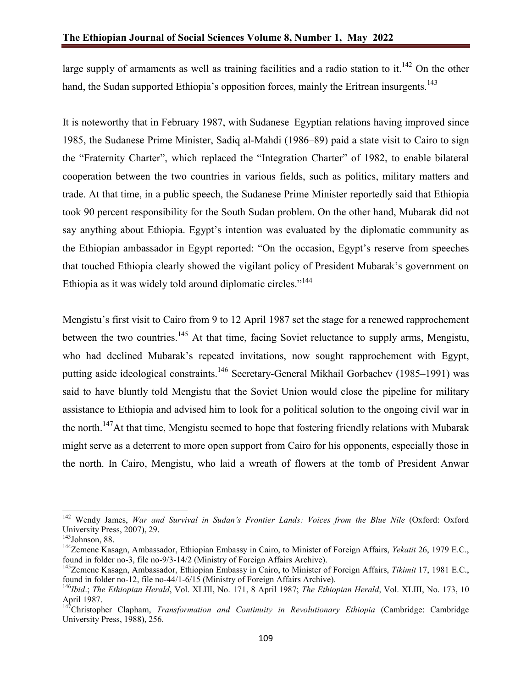large supply of armaments as well as training facilities and a radio station to it.<sup>142</sup> On the other hand, the Sudan supported Ethiopia's opposition forces, mainly the Eritrean insurgents.<sup>143</sup>

It is noteworthy that in February 1987, with Sudanese–Egyptian relations having improved since 1985, the Sudanese Prime Minister, Sadiq al-Mahdi (1986–89) paid a state visit to Cairo to sign the "Fraternity Charter", which replaced the "Integration Charter" of 1982, to enable bilateral cooperation between the two countries in various fields, such as politics, military matters and trade. At that time, in a public speech, the Sudanese Prime Minister reportedly said that Ethiopia took 90 percent responsibility for the South Sudan problem. On the other hand, Mubarak did not say anything about Ethiopia. Egypt's intention was evaluated by the diplomatic community as the Ethiopian ambassador in Egypt reported: "On the occasion, Egypt's reserve from speeches that touched Ethiopia clearly showed the vigilant policy of President Mubarak's government on Ethiopia as it was widely told around diplomatic circles."<sup>144</sup>

Mengistu's first visit to Cairo from 9 to 12 April 1987 set the stage for a renewed rapprochement between the two countries.<sup>145</sup> At that time, facing Soviet reluctance to supply arms, Mengistu, who had declined Mubarak's repeated invitations, now sought rapprochement with Egypt, putting aside ideological constraints.<sup>146</sup> Secretary-General Mikhail Gorbachev (1985–1991) was said to have bluntly told Mengistu that the Soviet Union would close the pipeline for military assistance to Ethiopia and advised him to look for a political solution to the ongoing civil war in the north.<sup>147</sup>At that time, Mengistu seemed to hope that fostering friendly relations with Mubarak might serve as a deterrent to more open support from Cairo for his opponents, especially those in the north. In Cairo, Mengistu, who laid a wreath of flowers at the tomb of President Anwar

<sup>142</sup> Wendy James, *War and Survival in Sudan's Frontier Lands: Voices from the Blue Nile* (Oxford: Oxford University Press, 2007), 29.<br><sup>143</sup>Johnson, 88.

<sup>&</sup>lt;sup>144</sup>Zemene Kasagn, Ambassador, Ethiopian Embassy in Cairo, to Minister of Foreign Affairs, *Yekatit* 26, 1979 E.C., found in folder no-3, file no-9/3-14/2 (Ministry of Foreign Affairs Archive).

<sup>145</sup>Zemene Kasagn, Ambassador, Ethiopian Embassy in Cairo, to Minister of Foreign Affairs, *Tikimit* 17, 1981 E.C., found in folder no-12, file no-44/1-6/15 (Ministry of Foreign Affairs Archive).

<sup>146</sup>*Ibid*.; *The Ethiopian Herald*, Vol. XLIII, No. 171, 8 April 1987; *The Ethiopian Herald*, Vol. XLIII, No. 173, 10 April 1987.

<sup>&</sup>lt;sup>147</sup>Christopher Clapham, *Transformation and Continuity in Revolutionary Ethiopia* (Cambridge: Cambridge University Press, 1988), 256.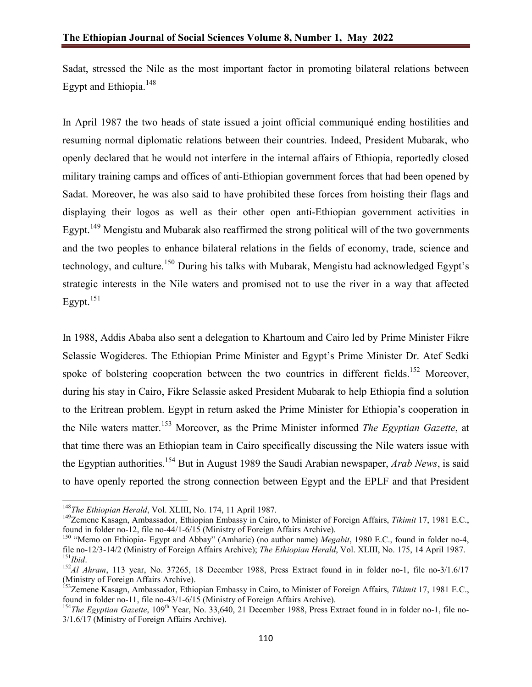Sadat, stressed the Nile as the most important factor in promoting bilateral relations between Egypt and Ethiopia. $148$ 

In April 1987 the two heads of state issued a joint official communiqué ending hostilities and resuming normal diplomatic relations between their countries. Indeed, President Mubarak, who openly declared that he would not interfere in the internal affairs of Ethiopia, reportedly closed military training camps and offices of anti-Ethiopian government forces that had been opened by Sadat. Moreover, he was also said to have prohibited these forces from hoisting their flags and displaying their logos as well as their other open anti-Ethiopian government activities in Egypt.<sup>149</sup> Mengistu and Mubarak also reaffirmed the strong political will of the two governments and the two peoples to enhance bilateral relations in the fields of economy, trade, science and technology, and culture.<sup>150</sup> During his talks with Mubarak, Mengistu had acknowledged Egypt's strategic interests in the Nile waters and promised not to use the river in a way that affected Egypt. $151$ 

In 1988, Addis Ababa also sent a delegation to Khartoum and Cairo led by Prime Minister Fikre Selassie Wogideres. The Ethiopian Prime Minister and Egypt's Prime Minister Dr. Atef Sedki spoke of bolstering cooperation between the two countries in different fields.<sup>152</sup> Moreover, during his stay in Cairo, Fikre Selassie asked President Mubarak to help Ethiopia find a solution to the Eritrean problem. Egypt in return asked the Prime Minister for Ethiopia's cooperation in the Nile waters matter. <sup>153</sup> Moreover, as the Prime Minister informed *The Egyptian Gazette*, at that time there was an Ethiopian team in Cairo specifically discussing the Nile waters issue with the Egyptian authorities.154 But in August 1989 the Saudi Arabian newspaper, *Arab News*, is said to have openly reported the strong connection between Egypt and the EPLF and that President

<sup>148</sup>*The Ethiopian Herald*, Vol. XLIII, No. 174, 11 April 1987.

<sup>149</sup>Zemene Kasagn, Ambassador, Ethiopian Embassy in Cairo, to Minister of Foreign Affairs, *Tikimit* 17, 1981 E.C., found in folder no-12, file no-44/1-6/15 (Ministry of Foreign Affairs Archive).

<sup>150</sup> "Memo on Ethiopia- Egypt and Abbay" (Amharic) (no author name) *Megabit*, 1980 E.C., found in folder no-4, file no-12/3-14/2 (Ministry of Foreign Affairs Archive); *The Ethiopian Herald*, Vol. XLIII, No. 175, 14 April 1987.

<sup>&</sup>lt;sup>152</sup>Al Ahram, 113 year, No. 37265, 18 December 1988, Press Extract found in in folder no-1, file no-3/1.6/17 (Ministry of Foreign Affairs Archive).

<sup>153</sup>Zemene Kasagn, Ambassador, Ethiopian Embassy in Cairo, to Minister of Foreign Affairs, *Tikimit* 17, 1981 E.C., found in folder no-11, file no-43/1-6/15 (Ministry of Foreign Affairs Archive).

<sup>&</sup>lt;sup>154</sup>The Egyptian Gazette, 109<sup>th</sup> Year, No. 33,640, 21 December 1988, Press Extract found in in folder no-1, file no-3/1.6/17 (Ministry of Foreign Affairs Archive).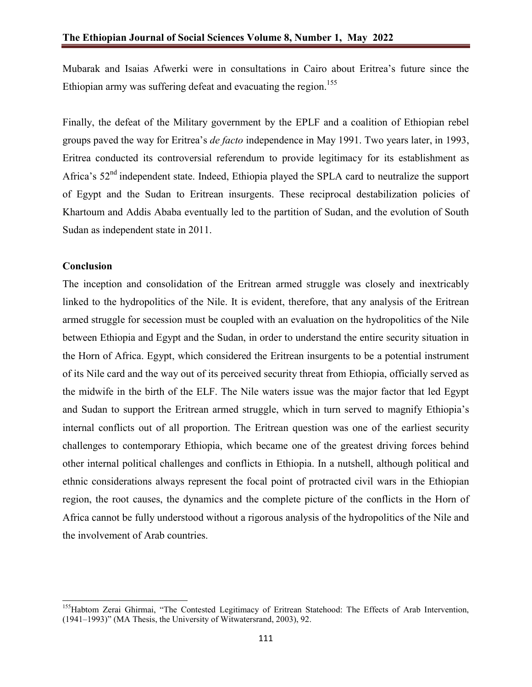Mubarak and Isaias Afwerki were in consultations in Cairo about Eritrea's future since the Ethiopian army was suffering defeat and evacuating the region.<sup>155</sup>

Finally, the defeat of the Military government by the EPLF and a coalition of Ethiopian rebel groups paved the way for Eritrea's *de facto* independence in May 1991. Two years later, in 1993, Eritrea conducted its controversial referendum to provide legitimacy for its establishment as Africa's 52nd independent state. Indeed, Ethiopia played the SPLA card to neutralize the support of Egypt and the Sudan to Eritrean insurgents. These reciprocal destabilization policies of Khartoum and Addis Ababa eventually led to the partition of Sudan, and the evolution of South Sudan as independent state in 2011.

### **Conclusion**

The inception and consolidation of the Eritrean armed struggle was closely and inextricably linked to the hydropolitics of the Nile. It is evident, therefore, that any analysis of the Eritrean armed struggle for secession must be coupled with an evaluation on the hydropolitics of the Nile between Ethiopia and Egypt and the Sudan, in order to understand the entire security situation in the Horn of Africa. Egypt, which considered the Eritrean insurgents to be a potential instrument of its Nile card and the way out of its perceived security threat from Ethiopia, officially served as the midwife in the birth of the ELF. The Nile waters issue was the major factor that led Egypt and Sudan to support the Eritrean armed struggle, which in turn served to magnify Ethiopia's internal conflicts out of all proportion. The Eritrean question was one of the earliest security challenges to contemporary Ethiopia, which became one of the greatest driving forces behind other internal political challenges and conflicts in Ethiopia. In a nutshell, although political and ethnic considerations always represent the focal point of protracted civil wars in the Ethiopian region, the root causes, the dynamics and the complete picture of the conflicts in the Horn of Africa cannot be fully understood without a rigorous analysis of the hydropolitics of the Nile and the involvement of Arab countries.

<sup>&</sup>lt;sup>155</sup>Habtom Zerai Ghirmai, "The Contested Legitimacy of Eritrean Statehood: The Effects of Arab Intervention, (1941–1993)" (MA Thesis, the University of Witwatersrand, 2003), 92.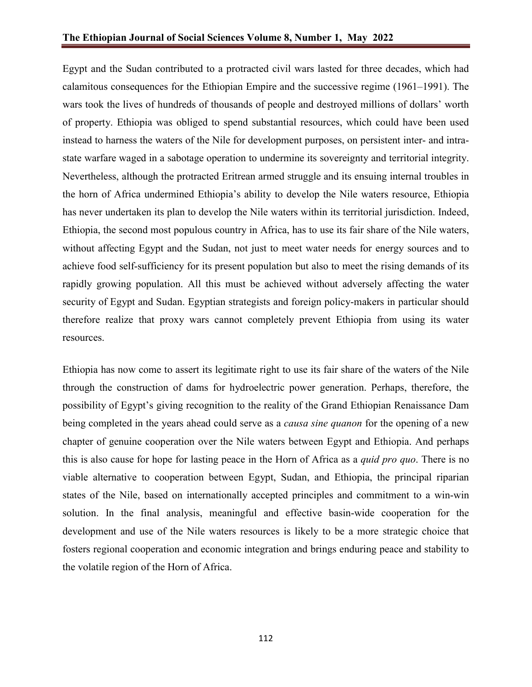Egypt and the Sudan contributed to a protracted civil wars lasted for three decades, which had calamitous consequences for the Ethiopian Empire and the successive regime (1961–1991). The wars took the lives of hundreds of thousands of people and destroyed millions of dollars' worth of property. Ethiopia was obliged to spend substantial resources, which could have been used instead to harness the waters of the Nile for development purposes, on persistent inter- and intrastate warfare waged in a sabotage operation to undermine its sovereignty and territorial integrity. Nevertheless, although the protracted Eritrean armed struggle and its ensuing internal troubles in the horn of Africa undermined Ethiopia's ability to develop the Nile waters resource, Ethiopia has never undertaken its plan to develop the Nile waters within its territorial jurisdiction. Indeed, Ethiopia, the second most populous country in Africa, has to use its fair share of the Nile waters, without affecting Egypt and the Sudan, not just to meet water needs for energy sources and to achieve food self-sufficiency for its present population but also to meet the rising demands of its rapidly growing population. All this must be achieved without adversely affecting the water security of Egypt and Sudan. Egyptian strategists and foreign policy-makers in particular should therefore realize that proxy wars cannot completely prevent Ethiopia from using its water resources.

Ethiopia has now come to assert its legitimate right to use its fair share of the waters of the Nile through the construction of dams for hydroelectric power generation. Perhaps, therefore, the possibility of Egypt's giving recognition to the reality of the Grand Ethiopian Renaissance Dam being completed in the years ahead could serve as a *causa sine quanon* for the opening of a new chapter of genuine cooperation over the Nile waters between Egypt and Ethiopia. And perhaps this is also cause for hope for lasting peace in the Horn of Africa as a *quid pro quo*. There is no viable alternative to cooperation between Egypt, Sudan, and Ethiopia, the principal riparian states of the Nile, based on internationally accepted principles and commitment to a win-win solution. In the final analysis, meaningful and effective basin-wide cooperation for the development and use of the Nile waters resources is likely to be a more strategic choice that fosters regional cooperation and economic integration and brings enduring peace and stability to the volatile region of the Horn of Africa.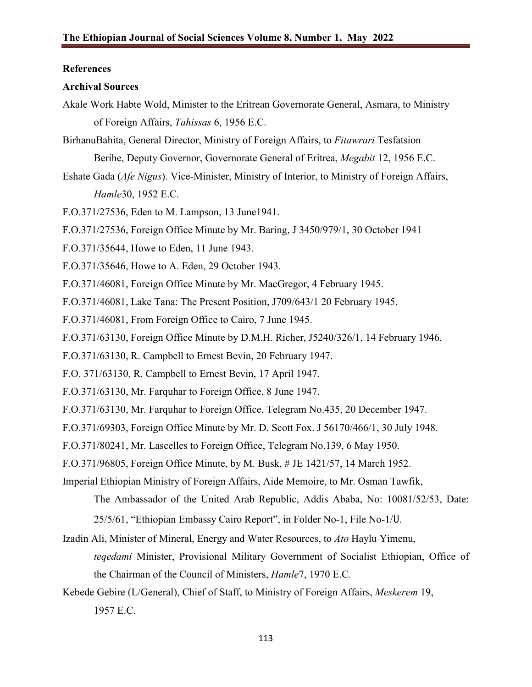### **References**

#### **Archival Sources**

- Akale Work Habte Wold, Minister to the Eritrean Governorate General, Asmara, to Ministry of Foreign Affairs, *Tahissas* 6, 1956 E.C.
- BirhanuBahita, General Director, Ministry of Foreign Affairs, to *Fitawrari* Tesfatsion Berihe, Deputy Governor, Governorate General of Eritrea, *Megabit* 12, 1956 E.C.
- Eshate Gada (*Afe Nigus*). Vice-Minister, Ministry of Interior, to Ministry of Foreign Affairs, *Hamle*30, 1952 E.C.
- F.O.371/27536, Eden to M. Lampson, 13 June1941.
- F.O.371/27536, Foreign Office Minute by Mr. Baring, J 3450/979/1, 30 October 1941
- F.O.371/35644, Howe to Eden, 11 June 1943.
- F.O.371/35646, Howe to A. Eden, 29 October 1943.
- F.O.371/46081, Foreign Office Minute by Mr. MacGregor, 4 February 1945.
- F.O.371/46081, Lake Tana: The Present Position, J709/643/1 20 February 1945.
- F.O.371/46081, From Foreign Office to Cairo, 7 June 1945.
- F.O.371/63130, Foreign Office Minute by D.M.H. Richer, J5240/326/1, 14 February 1946.
- F.O.371/63130, R. Campbell to Ernest Bevin, 20 February 1947.
- F.O. 371/63130, R. Campbell to Ernest Bevin, 17 April 1947.
- F.O.371/63130, Mr. Farquhar to Foreign Office, 8 June 1947.
- F.O.371/63130, Mr. Farquhar to Foreign Office, Telegram No.435, 20 December 1947.
- F.O.371/69303, Foreign Office Minute by Mr. D. Scott Fox. J 56170/466/1, 30 July 1948.
- F.O.371/80241, Mr. Lascelles to Foreign Office, Telegram No.139, 6 May 1950.
- F.O.371/96805, Foreign Office Minute, by M. Busk, # JE 1421/57, 14 March 1952.
- Imperial Ethiopian Ministry of Foreign Affairs, Aide Memoire, to Mr. Osman Tawfik,
	- The Ambassador of the United Arab Republic, Addis Ababa, No: 10081/52/53, Date: 25/5/61, "Ethiopian Embassy Cairo Report", in Folder No-1, File No-1/ሀ.
- Izadin Ali, Minister of Mineral, Energy and Water Resources, to *Ato* Haylu Yimenu, *teqedami* Minister, Provisional Military Government of Socialist Ethiopian, Office of the Chairman of the Council of Ministers, *Hamle*7, 1970 E.C.
- Kebede Gebire (L/General), Chief of Staff, to Ministry of Foreign Affairs, *Meskerem* 19, 1957 E.C.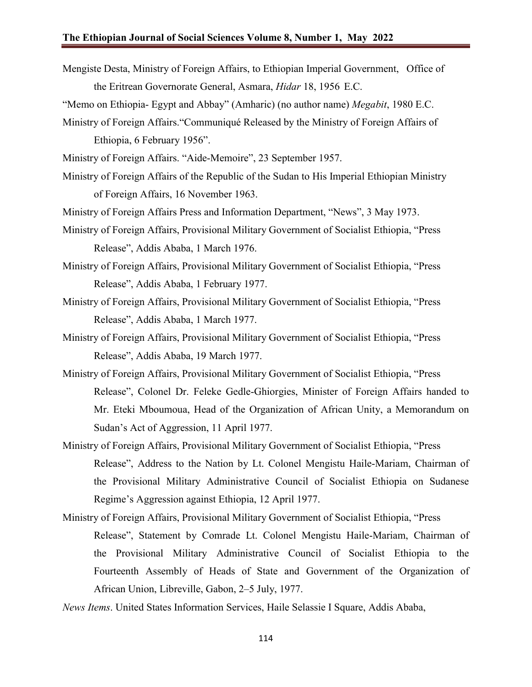Mengiste Desta, Ministry of Foreign Affairs, to Ethiopian Imperial Government, Office of the Eritrean Governorate General, Asmara, *Hidar* 18, 1956 E.C.

"Memo on Ethiopia- Egypt and Abbay" (Amharic) (no author name) *Megabit*, 1980 E.C.

Ministry of Foreign Affairs."Communiqué Released by the Ministry of Foreign Affairs of Ethiopia, 6 February 1956".

Ministry of Foreign Affairs. "Aide-Memoire", 23 September 1957.

Ministry of Foreign Affairs of the Republic of the Sudan to His Imperial Ethiopian Ministry of Foreign Affairs, 16 November 1963.

Ministry of Foreign Affairs Press and Information Department, "News", 3 May 1973.

- Ministry of Foreign Affairs, Provisional Military Government of Socialist Ethiopia, "Press Release", Addis Ababa, 1 March 1976.
- Ministry of Foreign Affairs, Provisional Military Government of Socialist Ethiopia, "Press Release", Addis Ababa, 1 February 1977.
- Ministry of Foreign Affairs, Provisional Military Government of Socialist Ethiopia, "Press Release", Addis Ababa, 1 March 1977.
- Ministry of Foreign Affairs, Provisional Military Government of Socialist Ethiopia, "Press Release", Addis Ababa, 19 March 1977.
- Ministry of Foreign Affairs, Provisional Military Government of Socialist Ethiopia, "Press Release", Colonel Dr. Feleke Gedle-Ghiorgies, Minister of Foreign Affairs handed to Mr. Eteki Mboumoua, Head of the Organization of African Unity, a Memorandum on Sudan's Act of Aggression, 11 April 1977.
- Ministry of Foreign Affairs, Provisional Military Government of Socialist Ethiopia, "Press Release", Address to the Nation by Lt. Colonel Mengistu Haile-Mariam, Chairman of the Provisional Military Administrative Council of Socialist Ethiopia on Sudanese Regime's Aggression against Ethiopia, 12 April 1977.
- Ministry of Foreign Affairs, Provisional Military Government of Socialist Ethiopia, "Press Release", Statement by Comrade Lt. Colonel Mengistu Haile-Mariam, Chairman of the Provisional Military Administrative Council of Socialist Ethiopia to the Fourteenth Assembly of Heads of State and Government of the Organization of African Union, Libreville, Gabon, 2–5 July, 1977.
- *News Items*. United States Information Services, Haile Selassie I Square, Addis Ababa,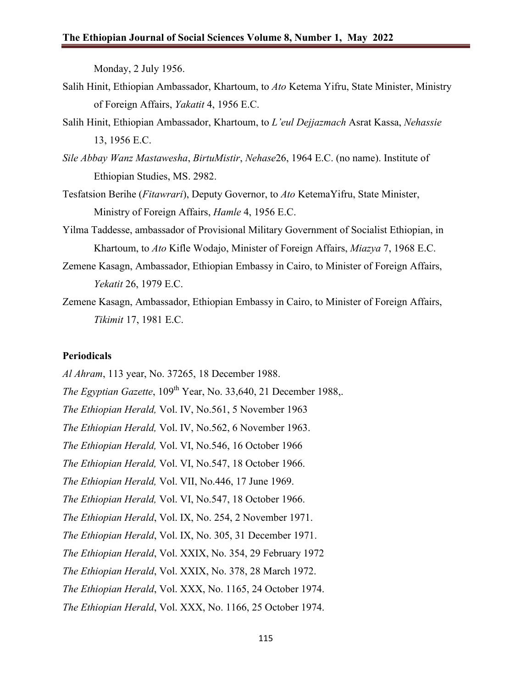Monday, 2 July 1956.

- Salih Hinit, Ethiopian Ambassador, Khartoum, to *Ato* Ketema Yifru, State Minister, Ministry of Foreign Affairs, *Yakatit* 4, 1956 E.C.
- Salih Hinit, Ethiopian Ambassador, Khartoum, to *L'eul Dejjazmach* Asrat Kassa, *Nehassie* 13, 1956 E.C.
- *Sile Abbay Wanz Mastawesha*, *BirtuMistir*, *Nehase*26, 1964 E.C. (no name). Institute of Ethiopian Studies, MS. 2982.
- Tesfatsion Berihe (*Fitawrari*), Deputy Governor, to *Ato* KetemaYifru, State Minister, Ministry of Foreign Affairs, *Hamle* 4, 1956 E.C.
- Yilma Taddesse, ambassador of Provisional Military Government of Socialist Ethiopian, in Khartoum, to *Ato* Kifle Wodajo, Minister of Foreign Affairs, *Miazya* 7, 1968 E.C.
- Zemene Kasagn, Ambassador, Ethiopian Embassy in Cairo, to Minister of Foreign Affairs, *Yekatit* 26, 1979 E.C.
- Zemene Kasagn, Ambassador, Ethiopian Embassy in Cairo, to Minister of Foreign Affairs, *Tikimit* 17, 1981 E.C.

#### **Periodicals**

*Al Ahram*, 113 year, No. 37265, 18 December 1988. *The Egyptian Gazette*, 109<sup>th</sup> Year, No. 33,640, 21 December 1988,. *The Ethiopian Herald,* Vol. IV, No.561, 5 November 1963 *The Ethiopian Herald,* Vol. IV, No.562, 6 November 1963. *The Ethiopian Herald,* Vol. VI, No.546, 16 October 1966 *The Ethiopian Herald,* Vol. VI, No.547, 18 October 1966. *The Ethiopian Herald,* Vol. VII, No.446, 17 June 1969. *The Ethiopian Herald,* Vol. VI, No.547, 18 October 1966. *The Ethiopian Herald*, Vol. IX, No. 254, 2 November 1971. *The Ethiopian Herald*, Vol. IX, No. 305, 31 December 1971. *The Ethiopian Herald*, Vol. XXIX, No. 354, 29 February 1972 *The Ethiopian Herald*, Vol. XXIX, No. 378, 28 March 1972. *The Ethiopian Herald*, Vol. XXX, No. 1165, 24 October 1974. *The Ethiopian Herald*, Vol. XXX, No. 1166, 25 October 1974.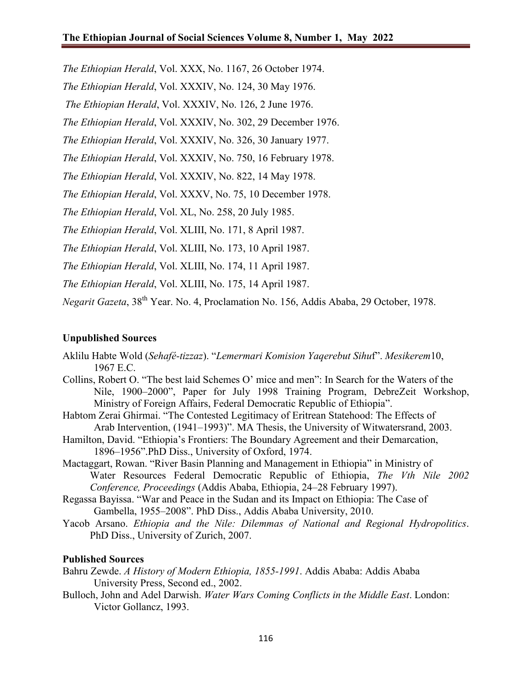*The Ethiopian Herald*, Vol. XXX, No. 1167, 26 October 1974.

*The Ethiopian Herald*, Vol. XXXIV, No. 124, 30 May 1976.

*The Ethiopian Herald*, Vol. XXXIV, No. 126, 2 June 1976.

*The Ethiopian Herald*, Vol. XXXIV, No. 302, 29 December 1976.

*The Ethiopian Herald*, Vol. XXXIV, No. 326, 30 January 1977.

*The Ethiopian Herald*, Vol. XXXIV, No. 750, 16 February 1978.

*The Ethiopian Herald*, Vol. XXXIV, No. 822, 14 May 1978.

*The Ethiopian Herald*, Vol. XXXV, No. 75, 10 December 1978.

*The Ethiopian Herald*, Vol. XL, No. 258, 20 July 1985.

*The Ethiopian Herald*, Vol. XLIII, No. 171, 8 April 1987.

*The Ethiopian Herald*, Vol. XLIII, No. 173, 10 April 1987.

*The Ethiopian Herald*, Vol. XLIII, No. 174, 11 April 1987.

*The Ethiopian Herald*, Vol. XLIII, No. 175, 14 April 1987.

*Negarit Gazeta*, 38<sup>th</sup> Year. No. 4, Proclamation No. 156, Addis Ababa, 29 October, 1978.

# **Unpublished Sources**

- Aklilu Habte Wold (*Sehafé-tizzaz*). "*Lemermari Komision Yaqerebut Sihu*f". *Mesikerem*10, 1967 E.C.
- Collins, Robert O. "The best laid Schemes O' mice and men": In Search for the Waters of the Nile, 1900–2000", Paper for July 1998 Training Program, DebreZeit Workshop, Ministry of Foreign Affairs, Federal Democratic Republic of Ethiopia".
- Habtom Zerai Ghirmai. "The Contested Legitimacy of Eritrean Statehood: The Effects of Arab Intervention, (1941–1993)". MA Thesis, the University of Witwatersrand, 2003.
- Hamilton, David. "Ethiopia's Frontiers: The Boundary Agreement and their Demarcation, 1896–1956".PhD Diss., University of Oxford, 1974.
- Mactaggart, Rowan. "River Basin Planning and Management in Ethiopia" in Ministry of Water Resources Federal Democratic Republic of Ethiopia, *The Vth Nile 2002 Conference, Proceedings* (Addis Ababa, Ethiopia, 24–28 February 1997).
- Regassa Bayissa. "War and Peace in the Sudan and its Impact on Ethiopia: The Case of Gambella, 1955–2008". PhD Diss., Addis Ababa University, 2010.
- Yacob Arsano. *Ethiopia and the Nile: Dilemmas of National and Regional Hydropolitics*. PhD Diss., University of Zurich, 2007.

### **Published Sources**

- Bahru Zewde. *A History of Modern Ethiopia, 1855-1991*. Addis Ababa: Addis Ababa University Press, Second ed., 2002.
- Bulloch, John and Adel Darwish. *Water Wars Coming Conflicts in the Middle East*. London: Victor Gollancz, 1993.